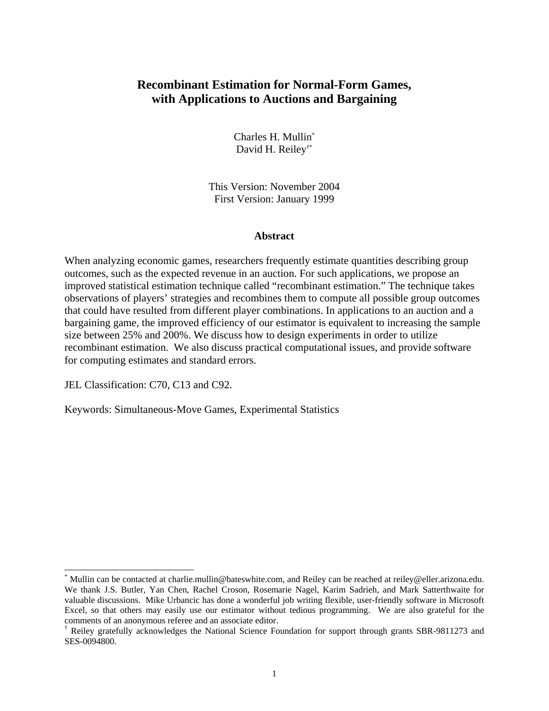# **Recombinant Estimation for Normal-Form Games, with Applications to Auctions and Bargaining**

Charles H. Mullin\* David H. Reiley†\*

This Version: November 2004 First Version: January 1999

### **Abstract**

When analyzing economic games, researchers frequently estimate quantities describing group outcomes, such as the expected revenue in an auction. For such applications, we propose an improved statistical estimation technique called "recombinant estimation." The technique takes observations of players' strategies and recombines them to compute all possible group outcomes that could have resulted from different player combinations. In applications to an auction and a bargaining game, the improved efficiency of our estimator is equivalent to increasing the sample size between 25% and 200%. We discuss how to design experiments in order to utilize recombinant estimation. We also discuss practical computational issues, and provide software for computing estimates and standard errors.

JEL Classification: C70, C13 and C92.

Keywords: Simultaneous-Move Games, Experimental Statistics

 <sup>\*</sup> Mullin can be contacted at charlie.mullin@bateswhite.com, and Reiley can be reached at reiley@eller.arizona.edu. We thank J.S. Butler, Yan Chen, Rachel Croson, Rosemarie Nagel, Karim Sadrieh, and Mark Satterthwaite for valuable discussions. Mike Urbancic has done a wonderful job writing flexible, user-friendly software in Microsoft Excel, so that others may easily use our estimator without tedious programming. We are also grateful for the comments of an anonymous referee and an associate editor.

<sup>†</sup> Reiley gratefully acknowledges the National Science Foundation for support through grants SBR-9811273 and SES-0094800.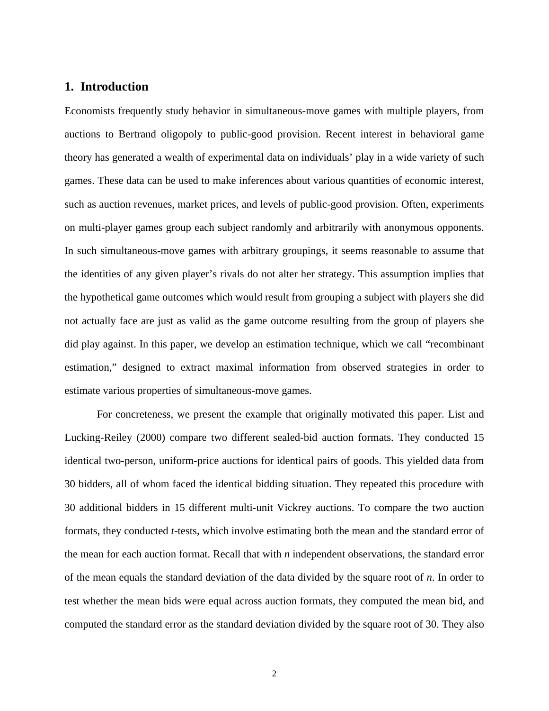# **1. Introduction**

Economists frequently study behavior in simultaneous-move games with multiple players, from auctions to Bertrand oligopoly to public-good provision. Recent interest in behavioral game theory has generated a wealth of experimental data on individuals' play in a wide variety of such games. These data can be used to make inferences about various quantities of economic interest, such as auction revenues, market prices, and levels of public-good provision. Often, experiments on multi-player games group each subject randomly and arbitrarily with anonymous opponents. In such simultaneous-move games with arbitrary groupings, it seems reasonable to assume that the identities of any given player's rivals do not alter her strategy. This assumption implies that the hypothetical game outcomes which would result from grouping a subject with players she did not actually face are just as valid as the game outcome resulting from the group of players she did play against. In this paper, we develop an estimation technique, which we call "recombinant estimation," designed to extract maximal information from observed strategies in order to estimate various properties of simultaneous-move games.

For concreteness, we present the example that originally motivated this paper. List and Lucking-Reiley (2000) compare two different sealed-bid auction formats. They conducted 15 identical two-person, uniform-price auctions for identical pairs of goods. This yielded data from 30 bidders, all of whom faced the identical bidding situation. They repeated this procedure with 30 additional bidders in 15 different multi-unit Vickrey auctions. To compare the two auction formats, they conducted *t*-tests, which involve estimating both the mean and the standard error of the mean for each auction format. Recall that with *n* independent observations, the standard error of the mean equals the standard deviation of the data divided by the square root of *n*. In order to test whether the mean bids were equal across auction formats, they computed the mean bid, and computed the standard error as the standard deviation divided by the square root of 30. They also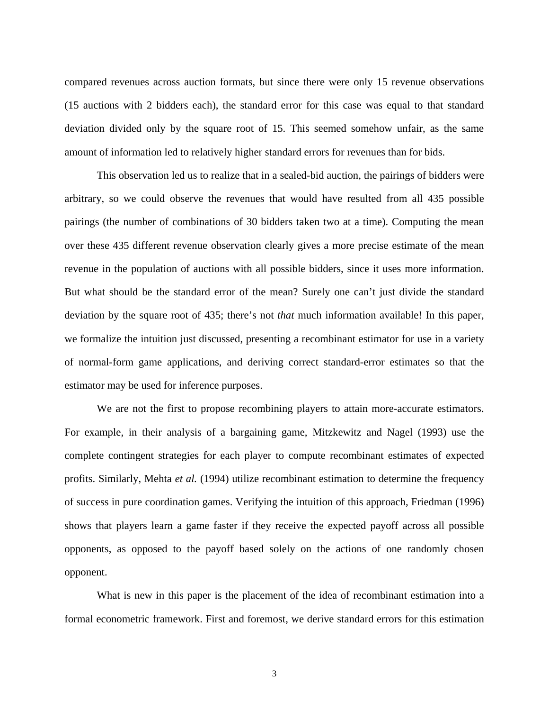compared revenues across auction formats, but since there were only 15 revenue observations (15 auctions with 2 bidders each), the standard error for this case was equal to that standard deviation divided only by the square root of 15. This seemed somehow unfair, as the same amount of information led to relatively higher standard errors for revenues than for bids.

This observation led us to realize that in a sealed-bid auction, the pairings of bidders were arbitrary, so we could observe the revenues that would have resulted from all 435 possible pairings (the number of combinations of 30 bidders taken two at a time). Computing the mean over these 435 different revenue observation clearly gives a more precise estimate of the mean revenue in the population of auctions with all possible bidders, since it uses more information. But what should be the standard error of the mean? Surely one can't just divide the standard deviation by the square root of 435; there's not *that* much information available! In this paper, we formalize the intuition just discussed, presenting a recombinant estimator for use in a variety of normal-form game applications, and deriving correct standard-error estimates so that the estimator may be used for inference purposes.

We are not the first to propose recombining players to attain more-accurate estimators. For example, in their analysis of a bargaining game, Mitzkewitz and Nagel (1993) use the complete contingent strategies for each player to compute recombinant estimates of expected profits. Similarly, Mehta *et al.* (1994) utilize recombinant estimation to determine the frequency of success in pure coordination games. Verifying the intuition of this approach, Friedman (1996) shows that players learn a game faster if they receive the expected payoff across all possible opponents, as opposed to the payoff based solely on the actions of one randomly chosen opponent.

What is new in this paper is the placement of the idea of recombinant estimation into a formal econometric framework. First and foremost, we derive standard errors for this estimation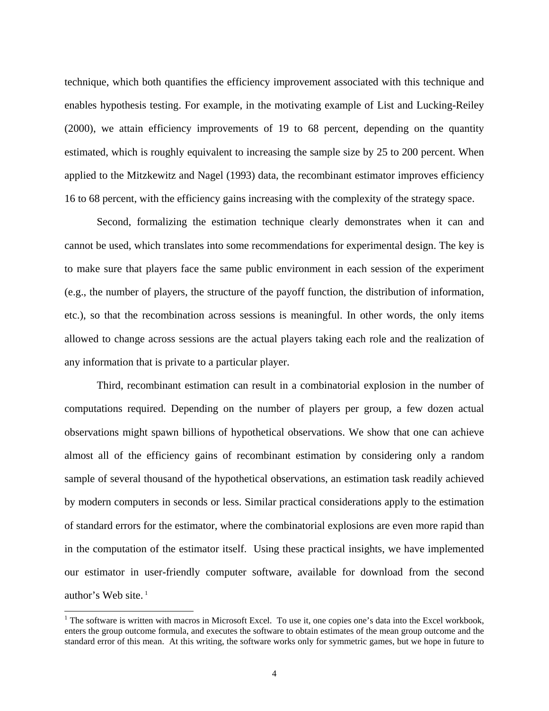technique, which both quantifies the efficiency improvement associated with this technique and enables hypothesis testing. For example, in the motivating example of List and Lucking-Reiley (2000), we attain efficiency improvements of 19 to 68 percent, depending on the quantity estimated, which is roughly equivalent to increasing the sample size by 25 to 200 percent. When applied to the Mitzkewitz and Nagel (1993) data, the recombinant estimator improves efficiency 16 to 68 percent, with the efficiency gains increasing with the complexity of the strategy space.

Second, formalizing the estimation technique clearly demonstrates when it can and cannot be used, which translates into some recommendations for experimental design. The key is to make sure that players face the same public environment in each session of the experiment (e.g., the number of players, the structure of the payoff function, the distribution of information, etc.), so that the recombination across sessions is meaningful. In other words, the only items allowed to change across sessions are the actual players taking each role and the realization of any information that is private to a particular player.

Third, recombinant estimation can result in a combinatorial explosion in the number of computations required. Depending on the number of players per group, a few dozen actual observations might spawn billions of hypothetical observations. We show that one can achieve almost all of the efficiency gains of recombinant estimation by considering only a random sample of several thousand of the hypothetical observations, an estimation task readily achieved by modern computers in seconds or less. Similar practical considerations apply to the estimation of standard errors for the estimator, where the combinatorial explosions are even more rapid than in the computation of the estimator itself. Using these practical insights, we have implemented our estimator in user-friendly computer software, available for download from the second author's Web site. $<sup>1</sup>$ </sup>

<sup>|&</sup>lt;br>|<br>|  $1$  The software is written with macros in Microsoft Excel. To use it, one copies one's data into the Excel workbook, enters the group outcome formula, and executes the software to obtain estimates of the mean group outcome and the standard error of this mean. At this writing, the software works only for symmetric games, but we hope in future to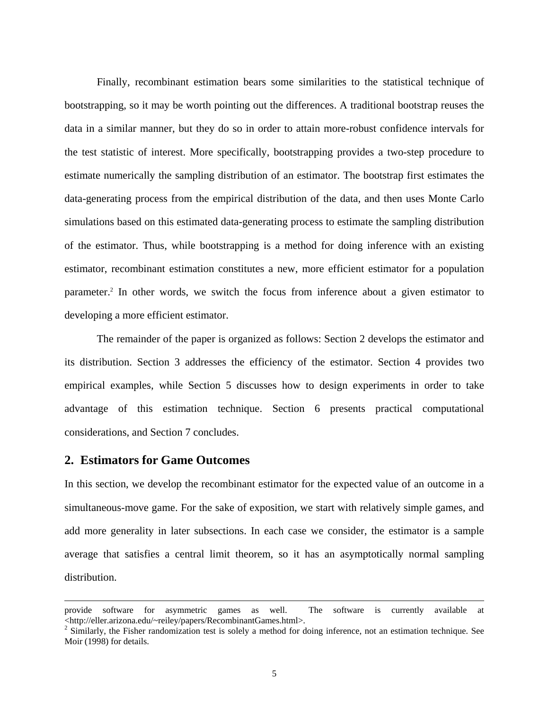Finally, recombinant estimation bears some similarities to the statistical technique of bootstrapping, so it may be worth pointing out the differences. A traditional bootstrap reuses the data in a similar manner, but they do so in order to attain more-robust confidence intervals for the test statistic of interest. More specifically, bootstrapping provides a two-step procedure to estimate numerically the sampling distribution of an estimator. The bootstrap first estimates the data-generating process from the empirical distribution of the data, and then uses Monte Carlo simulations based on this estimated data-generating process to estimate the sampling distribution of the estimator. Thus, while bootstrapping is a method for doing inference with an existing estimator, recombinant estimation constitutes a new, more efficient estimator for a population parameter.<sup>2</sup> In other words, we switch the focus from inference about a given estimator to developing a more efficient estimator.

The remainder of the paper is organized as follows: Section 2 develops the estimator and its distribution. Section 3 addresses the efficiency of the estimator. Section 4 provides two empirical examples, while Section 5 discusses how to design experiments in order to take advantage of this estimation technique. Section 6 presents practical computational considerations, and Section 7 concludes.

## **2. Estimators for Game Outcomes**

 $\overline{a}$ 

In this section, we develop the recombinant estimator for the expected value of an outcome in a simultaneous-move game. For the sake of exposition, we start with relatively simple games, and add more generality in later subsections. In each case we consider, the estimator is a sample average that satisfies a central limit theorem, so it has an asymptotically normal sampling distribution.

provide software for asymmetric games as well. The software is currently available at <http://eller.arizona.edu/~reiley/papers/RecombinantGames.html>. 2

<sup>&</sup>lt;sup>2</sup> Similarly, the Fisher randomization test is solely a method for doing inference, not an estimation technique. See Moir (1998) for details.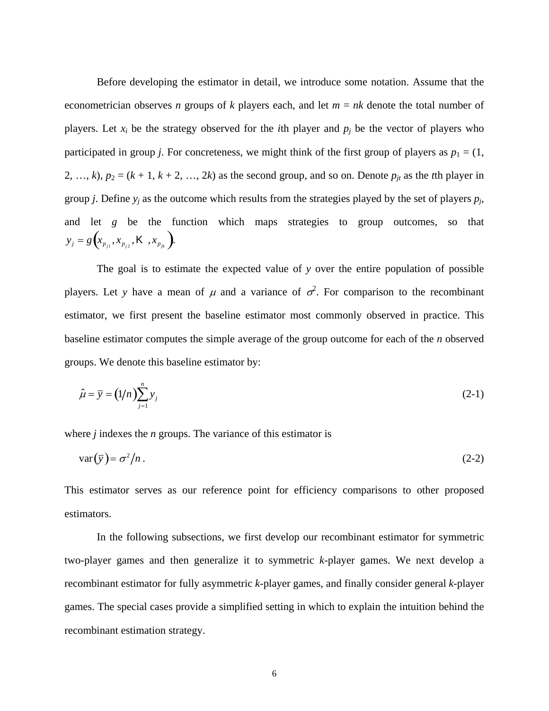Before developing the estimator in detail, we introduce some notation. Assume that the econometrician observes *n* groups of *k* players each, and let *m* = *nk* denote the total number of players. Let  $x_i$  be the strategy observed for the *i*th player and  $p_i$  be the vector of players who participated in group *j*. For concreteness, we might think of the first group of players as  $p_1 = (1, 1)$ 2, …, *k*),  $p_2 = (k + 1, k + 2, ..., 2k)$  as the second group, and so on. Denote  $p_{jt}$  as the *t*th player in group *j*. Define  $y_i$  as the outcome which results from the strategies played by the set of players  $p_i$ , and let *g* be the function which maps strategies to group outcomes, so that  $y_j = g\left(x_{p_{j1}}, x_{p_{j2}}, K, x_{p_{jk}}\right).$ 

The goal is to estimate the expected value of *y* over the entire population of possible players. Let y have a mean of  $\mu$  and a variance of  $\sigma^2$ . For comparison to the recombinant estimator, we first present the baseline estimator most commonly observed in practice. This baseline estimator computes the simple average of the group outcome for each of the *n* observed groups. We denote this baseline estimator by:

$$
\hat{\mu} = \overline{y} = (1/n) \sum_{j=1}^{n} y_j
$$
\n(2-1)

where *j* indexes the *n* groups. The variance of this estimator is

$$
var(\bar{y}) = \sigma^2 / n . \tag{2-2}
$$

This estimator serves as our reference point for efficiency comparisons to other proposed estimators.

In the following subsections, we first develop our recombinant estimator for symmetric two-player games and then generalize it to symmetric *k*-player games. We next develop a recombinant estimator for fully asymmetric *k*-player games, and finally consider general *k*-player games. The special cases provide a simplified setting in which to explain the intuition behind the recombinant estimation strategy.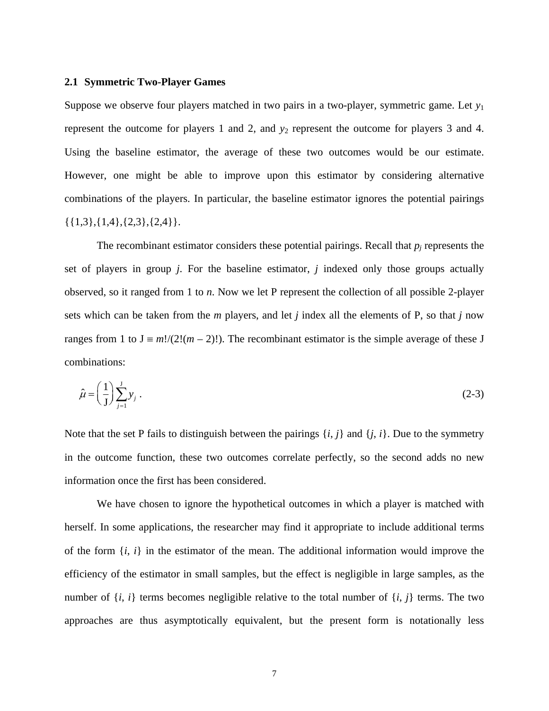#### **2.1 Symmetric Two-Player Games**

Suppose we observe four players matched in two pairs in a two-player, symmetric game. Let *y*<sup>1</sup> represent the outcome for players 1 and 2, and  $y_2$  represent the outcome for players 3 and 4. Using the baseline estimator, the average of these two outcomes would be our estimate. However, one might be able to improve upon this estimator by considering alternative combinations of the players. In particular, the baseline estimator ignores the potential pairings  $\{\{1,3\},\{1,4\},\{2,3\},\{2,4\}\}.$ 

The recombinant estimator considers these potential pairings. Recall that  $p_j$  represents the set of players in group *j*. For the baseline estimator, *j* indexed only those groups actually observed, so it ranged from 1 to *n*. Now we let P represent the collection of all possible 2-player sets which can be taken from the *m* players, and let *j* index all the elements of P, so that *j* now ranges from 1 to  $J = m!/(2!(m-2)!)$ . The recombinant estimator is the simple average of these J combinations:

$$
\hat{\mu} = \left(\frac{1}{J}\right) \sum_{j=1}^{J} y_j \tag{2-3}
$$

Note that the set P fails to distinguish between the pairings  $\{i, j\}$  and  $\{j, i\}$ . Due to the symmetry in the outcome function, these two outcomes correlate perfectly, so the second adds no new information once the first has been considered.

We have chosen to ignore the hypothetical outcomes in which a player is matched with herself. In some applications, the researcher may find it appropriate to include additional terms of the form {*i*, *i*} in the estimator of the mean. The additional information would improve the efficiency of the estimator in small samples, but the effect is negligible in large samples, as the number of  $\{i, i\}$  terms becomes negligible relative to the total number of  $\{i, j\}$  terms. The two approaches are thus asymptotically equivalent, but the present form is notationally less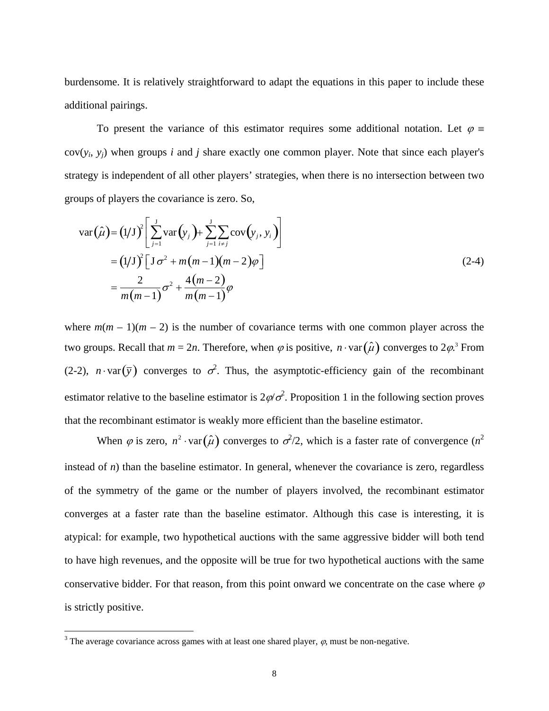burdensome. It is relatively straightforward to adapt the equations in this paper to include these additional pairings.

To present the variance of this estimator requires some additional notation. Let  $\varphi =$  $cov(y_i, y_i)$  when groups *i* and *j* share exactly one common player. Note that since each player's strategy is independent of all other players' strategies, when there is no intersection between two groups of players the covariance is zero. So,

$$
\operatorname{var}(\hat{\mu}) = (1/J)^2 \left[ \sum_{j=1}^{J} \operatorname{var}(y_j) + \sum_{j=1}^{J} \sum_{i \neq j} \operatorname{cov}(y_j, y_i) \right]
$$
  
=  $(1/J)^2 \left[ J \sigma^2 + m(m-1)(m-2) \varphi \right]$   
=  $\frac{2}{m(m-1)} \sigma^2 + \frac{4(m-2)}{m(m-1)} \varphi$  (2-4)

where  $m(m-1)(m-2)$  is the number of covariance terms with one common player across the two groups. Recall that  $m = 2n$ . Therefore, when  $\varphi$  is positive,  $n \cdot \text{var}(\hat{\mu})$  converges to  $2\varphi$ .<sup>3</sup> From (2-2),  $n \cdot \text{var}(\bar{y})$  converges to  $\sigma^2$ . Thus, the asymptotic-efficiency gain of the recombinant estimator relative to the baseline estimator is  $2\varphi/\sigma^2$ . Proposition 1 in the following section proves that the recombinant estimator is weakly more efficient than the baseline estimator.

When  $\varphi$  is zero,  $n^2 \cdot \text{var}(\hat{\mu})$  converges to  $\sigma^2/2$ , which is a faster rate of convergence  $(n^2)$ instead of  $n$ ) than the baseline estimator. In general, whenever the covariance is zero, regardless of the symmetry of the game or the number of players involved, the recombinant estimator converges at a faster rate than the baseline estimator. Although this case is interesting, it is atypical: for example, two hypothetical auctions with the same aggressive bidder will both tend to have high revenues, and the opposite will be true for two hypothetical auctions with the same conservative bidder. For that reason, from this point onward we concentrate on the case where  $\varphi$ is strictly positive.

<sup>&</sup>lt;sup>2</sup><br>3 <sup>3</sup> The average covariance across games with at least one shared player,  $\varphi$ , must be non-negative.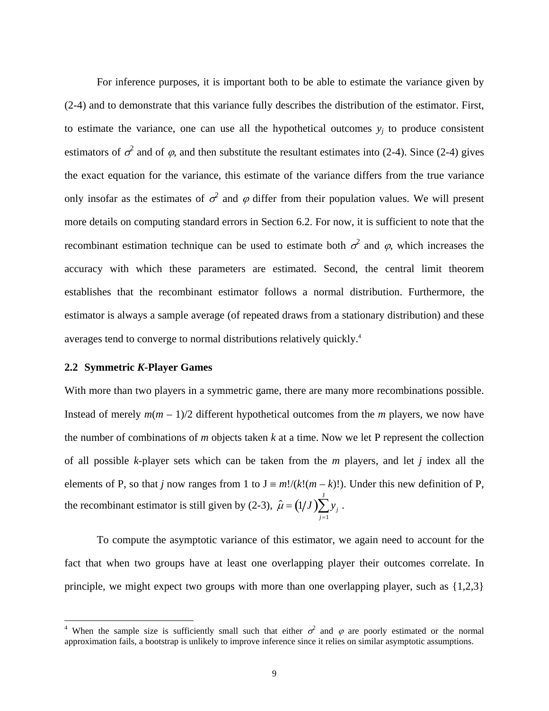For inference purposes, it is important both to be able to estimate the variance given by (2-4) and to demonstrate that this variance fully describes the distribution of the estimator. First, to estimate the variance, one can use all the hypothetical outcomes  $y_i$  to produce consistent estimators of  $\sigma^2$  and of  $\varphi$ , and then substitute the resultant estimates into (2-4). Since (2-4) gives the exact equation for the variance, this estimate of the variance differs from the true variance only insofar as the estimates of  $\sigma^2$  and  $\varphi$  differ from their population values. We will present more details on computing standard errors in Section 6.2. For now, it is sufficient to note that the recombinant estimation technique can be used to estimate both  $\sigma^2$  and  $\varphi$ , which increases the accuracy with which these parameters are estimated. Second, the central limit theorem establishes that the recombinant estimator follows a normal distribution. Furthermore, the estimator is always a sample average (of repeated draws from a stationary distribution) and these averages tend to converge to normal distributions relatively quickly.4

### **2.2 Symmetric** *K***-Player Games**

With more than two players in a symmetric game, there are many more recombinations possible. Instead of merely  $m(m - 1)/2$  different hypothetical outcomes from the *m* players, we now have the number of combinations of *m* objects taken *k* at a time. Now we let P represent the collection of all possible *k*-player sets which can be taken from the *m* players, and let *j* index all the elements of P, so that *j* now ranges from 1 to  $J = m!/(k!(m-k)!)$ . Under this new definition of P, the recombinant estimator is still given by (2-3),  $\hat{\mu} = (1/J)\sum y_i$ *j* =1  $\sum y_j$  .

To compute the asymptotic variance of this estimator, we again need to account for the fact that when two groups have at least one overlapping player their outcomes correlate. In principle, we might expect two groups with more than one overlapping player, such as {1,2,3}

 $\frac{1}{4}$ When the sample size is sufficiently small such that either  $\sigma^2$  and  $\varphi$  are poorly estimated or the normal approximation fails, a bootstrap is unlikely to improve inference since it relies on similar asymptotic assumptions.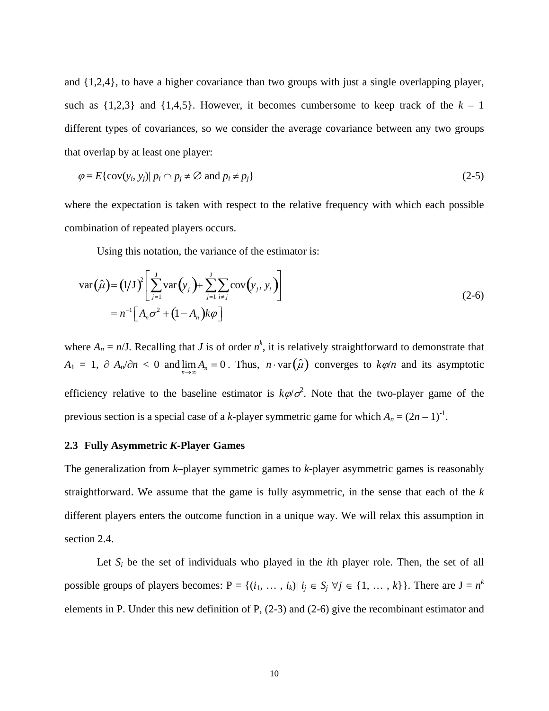and {1,2,4}, to have a higher covariance than two groups with just a single overlapping player, such as  $\{1,2,3\}$  and  $\{1,4,5\}$ . However, it becomes cumbersome to keep track of the  $k-1$ different types of covariances, so we consider the average covariance between any two groups that overlap by at least one player:

$$
\varphi \equiv E\{\text{cov}(y_i, y_j) | p_i \cap p_j \neq \emptyset \text{ and } p_i \neq p_j\}
$$
\n(2-5)

where the expectation is taken with respect to the relative frequency with which each possible combination of repeated players occurs.

Using this notation, the variance of the estimator is:

$$
\operatorname{var}(\hat{\mu}) = (1/J)^2 \left[ \sum_{j=1}^{J} \operatorname{var}(y_j) + \sum_{j=1}^{J} \sum_{i \neq j} \operatorname{cov}(y_j, y_i) \right]
$$
  
=  $n^{-1} \left[ A_n \sigma^2 + (1 - A_n) k \varphi \right]$  (2-6)

where  $A_n = n/J$ . Recalling that *J* is of order  $n^k$ , it is relatively straightforward to demonstrate that  $A_1 = 1$ ,  $\partial A_n/\partial n < 0$  and  $\lim_{n \to \infty} A_n = 0$ . Thus,  $n \cdot \text{var}(\hat{\mu})$  converges to  $k\varphi/n$  and its asymptotic efficiency relative to the baseline estimator is  $k\varphi/\sigma^2$ . Note that the two-player game of the previous section is a special case of a *k*-player symmetric game for which  $A_n = (2n - 1)^{-1}$ .

#### **2.3 Fully Asymmetric** *K***-Player Games**

The generalization from *k*–player symmetric games to *k*-player asymmetric games is reasonably straightforward. We assume that the game is fully asymmetric, in the sense that each of the *k* different players enters the outcome function in a unique way. We will relax this assumption in section 2.4.

Let  $S_i$  be the set of individuals who played in the *i*th player role. Then, the set of all possible groups of players becomes:  $P = \{(i_1, \ldots, i_k) | i_j \in S_j \; \forall j \in \{1, \ldots, k\}\}\.$  There are  $J = n^k$ elements in P. Under this new definition of P, (2-3) and (2-6) give the recombinant estimator and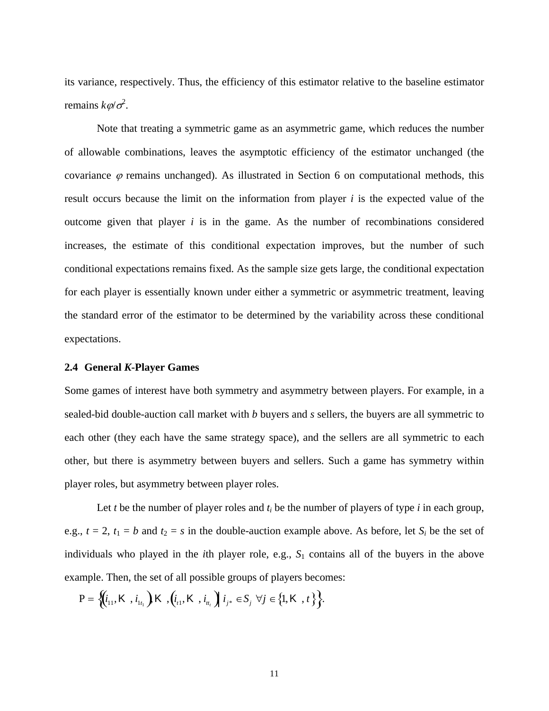its variance, respectively. Thus, the efficiency of this estimator relative to the baseline estimator remains  $k\varphi/\sigma^2$ .

Note that treating a symmetric game as an asymmetric game, which reduces the number of allowable combinations, leaves the asymptotic efficiency of the estimator unchanged (the covariance  $\varphi$  remains unchanged). As illustrated in Section 6 on computational methods, this result occurs because the limit on the information from player *i* is the expected value of the outcome given that player *i* is in the game. As the number of recombinations considered increases, the estimate of this conditional expectation improves, but the number of such conditional expectations remains fixed. As the sample size gets large, the conditional expectation for each player is essentially known under either a symmetric or asymmetric treatment, leaving the standard error of the estimator to be determined by the variability across these conditional expectations.

### **2.4 General** *K***-Player Games**

Some games of interest have both symmetry and asymmetry between players. For example, in a sealed-bid double-auction call market with *b* buyers and *s* sellers, the buyers are all symmetric to each other (they each have the same strategy space), and the sellers are all symmetric to each other, but there is asymmetry between buyers and sellers. Such a game has symmetry within player roles, but asymmetry between player roles.

Let *t* be the number of player roles and  $t_i$  be the number of players of type *i* in each group, e.g.,  $t = 2$ ,  $t_1 = b$  and  $t_2 = s$  in the double-auction example above. As before, let  $S_i$  be the set of individuals who played in the *i*th player role, e.g., *S*1 contains all of the buyers in the above example. Then, the set of all possible groups of players becomes:

 $P = \left\{ \left( i_{11}, K, i_{1t_1} \right) K, \left( i_{t1}, K, i_{t_t} \right) i_{j^*} \in S_j \ \forall j \in \left\{ 1, K, t \right\} \right\}.$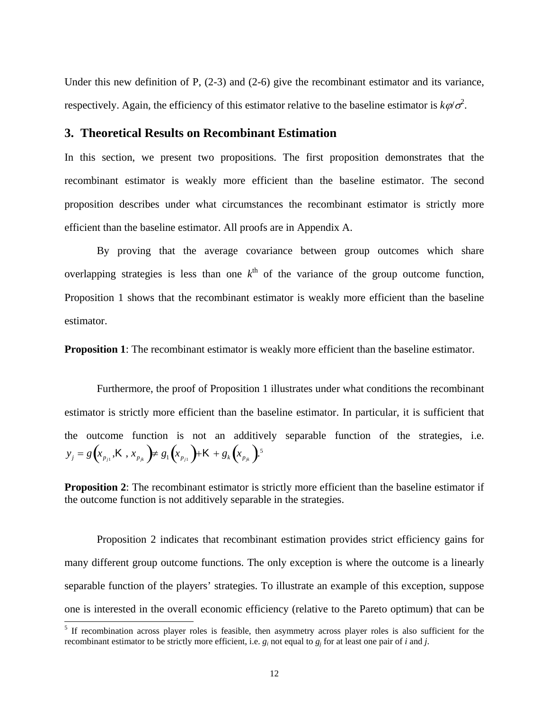Under this new definition of P,  $(2-3)$  and  $(2-6)$  give the recombinant estimator and its variance, respectively. Again, the efficiency of this estimator relative to the baseline estimator is  $k\varphi/\sigma^2$ .

# **3. Theoretical Results on Recombinant Estimation**

In this section, we present two propositions. The first proposition demonstrates that the recombinant estimator is weakly more efficient than the baseline estimator. The second proposition describes under what circumstances the recombinant estimator is strictly more efficient than the baseline estimator. All proofs are in Appendix A.

By proving that the average covariance between group outcomes which share overlapping strategies is less than one  $k^{\text{th}}$  of the variance of the group outcome function, Proposition 1 shows that the recombinant estimator is weakly more efficient than the baseline estimator.

**Proposition 1**: The recombinant estimator is weakly more efficient than the baseline estimator.

Furthermore, the proof of Proposition 1 illustrates under what conditions the recombinant estimator is strictly more efficient than the baseline estimator. In particular, it is sufficient that the outcome function is not an additively separable function of the strategies, i.e.  $y_j = g\left(x_{p_{j1}}, K, x_{p_{jk}}\right) \neq g_1\left(x_{p_{j1}}\right) + K + g_k\left(x_{p_{jk}}\right).$ <sup>5</sup>

**Proposition 2:** The recombinant estimator is strictly more efficient than the baseline estimator if the outcome function is not additively separable in the strategies.

Proposition 2 indicates that recombinant estimation provides strict efficiency gains for many different group outcome functions. The only exception is where the outcome is a linearly separable function of the players' strategies. To illustrate an example of this exception, suppose one is interested in the overall economic efficiency (relative to the Pareto optimum) that can be 5

<sup>&</sup>lt;sup>5</sup> If recombination across player roles is feasible, then asymmetry across player roles is also sufficient for the recombinant estimator to be strictly more efficient, i.e.  $g_i$  not equal to  $g_j$  for at least one pair of *i* and *j*.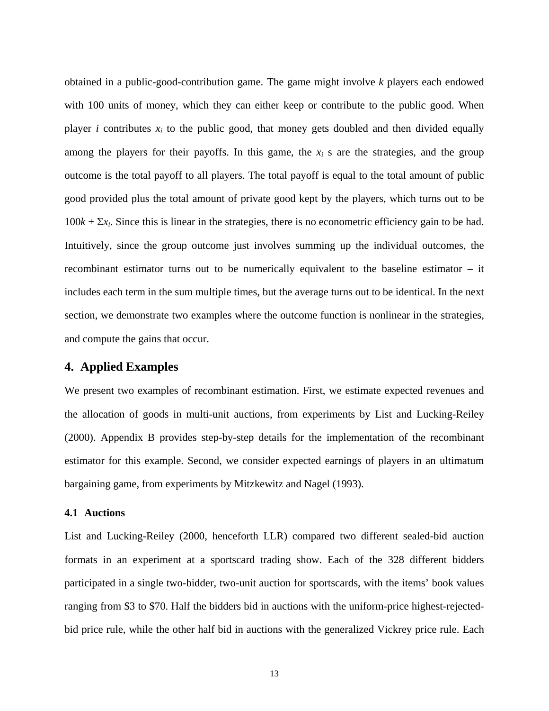obtained in a public-good-contribution game. The game might involve *k* players each endowed with 100 units of money, which they can either keep or contribute to the public good. When player *i* contributes  $x_i$  to the public good, that money gets doubled and then divided equally among the players for their payoffs. In this game, the  $x_i$  s are the strategies, and the group outcome is the total payoff to all players. The total payoff is equal to the total amount of public good provided plus the total amount of private good kept by the players, which turns out to be  $100k + \Sigma x_i$ . Since this is linear in the strategies, there is no econometric efficiency gain to be had. Intuitively, since the group outcome just involves summing up the individual outcomes, the recombinant estimator turns out to be numerically equivalent to the baseline estimator – it includes each term in the sum multiple times, but the average turns out to be identical. In the next section, we demonstrate two examples where the outcome function is nonlinear in the strategies, and compute the gains that occur.

# **4. Applied Examples**

We present two examples of recombinant estimation. First, we estimate expected revenues and the allocation of goods in multi-unit auctions, from experiments by List and Lucking-Reiley (2000). Appendix B provides step-by-step details for the implementation of the recombinant estimator for this example. Second, we consider expected earnings of players in an ultimatum bargaining game, from experiments by Mitzkewitz and Nagel (1993).

### **4.1 Auctions**

List and Lucking-Reiley (2000, henceforth LLR) compared two different sealed-bid auction formats in an experiment at a sportscard trading show. Each of the 328 different bidders participated in a single two-bidder, two-unit auction for sportscards, with the items' book values ranging from \$3 to \$70. Half the bidders bid in auctions with the uniform-price highest-rejectedbid price rule, while the other half bid in auctions with the generalized Vickrey price rule. Each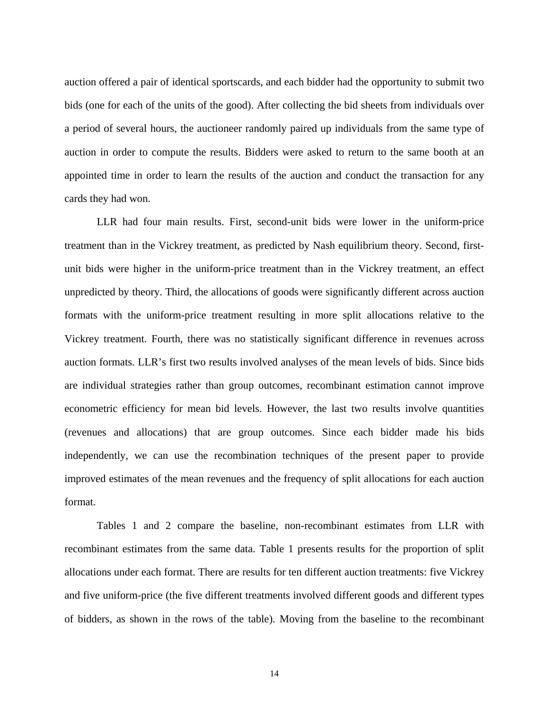auction offered a pair of identical sportscards, and each bidder had the opportunity to submit two bids (one for each of the units of the good). After collecting the bid sheets from individuals over a period of several hours, the auctioneer randomly paired up individuals from the same type of auction in order to compute the results. Bidders were asked to return to the same booth at an appointed time in order to learn the results of the auction and conduct the transaction for any cards they had won.

LLR had four main results. First, second-unit bids were lower in the uniform-price treatment than in the Vickrey treatment, as predicted by Nash equilibrium theory. Second, firstunit bids were higher in the uniform-price treatment than in the Vickrey treatment, an effect unpredicted by theory. Third, the allocations of goods were significantly different across auction formats with the uniform-price treatment resulting in more split allocations relative to the Vickrey treatment. Fourth, there was no statistically significant difference in revenues across auction formats. LLR's first two results involved analyses of the mean levels of bids. Since bids are individual strategies rather than group outcomes, recombinant estimation cannot improve econometric efficiency for mean bid levels. However, the last two results involve quantities (revenues and allocations) that are group outcomes. Since each bidder made his bids independently, we can use the recombination techniques of the present paper to provide improved estimates of the mean revenues and the frequency of split allocations for each auction format.

Tables 1 and 2 compare the baseline, non-recombinant estimates from LLR with recombinant estimates from the same data. Table 1 presents results for the proportion of split allocations under each format. There are results for ten different auction treatments: five Vickrey and five uniform-price (the five different treatments involved different goods and different types of bidders, as shown in the rows of the table). Moving from the baseline to the recombinant

14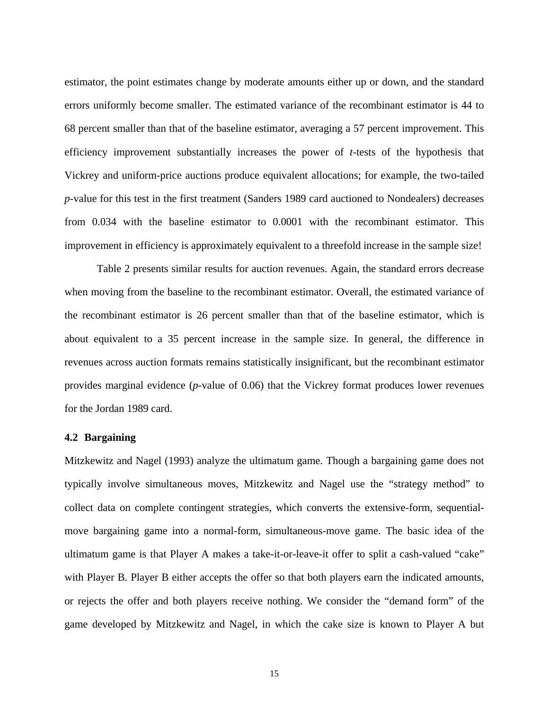estimator, the point estimates change by moderate amounts either up or down, and the standard errors uniformly become smaller. The estimated variance of the recombinant estimator is 44 to 68 percent smaller than that of the baseline estimator, averaging a 57 percent improvement. This efficiency improvement substantially increases the power of *t*-tests of the hypothesis that Vickrey and uniform-price auctions produce equivalent allocations; for example, the two-tailed *p*-value for this test in the first treatment (Sanders 1989 card auctioned to Nondealers) decreases from 0.034 with the baseline estimator to 0.0001 with the recombinant estimator. This improvement in efficiency is approximately equivalent to a threefold increase in the sample size!

Table 2 presents similar results for auction revenues. Again, the standard errors decrease when moving from the baseline to the recombinant estimator. Overall, the estimated variance of the recombinant estimator is 26 percent smaller than that of the baseline estimator, which is about equivalent to a 35 percent increase in the sample size. In general, the difference in revenues across auction formats remains statistically insignificant, but the recombinant estimator provides marginal evidence (*p*-value of 0.06) that the Vickrey format produces lower revenues for the Jordan 1989 card.

### **4.2 Bargaining**

Mitzkewitz and Nagel (1993) analyze the ultimatum game. Though a bargaining game does not typically involve simultaneous moves, Mitzkewitz and Nagel use the "strategy method" to collect data on complete contingent strategies, which converts the extensive-form, sequentialmove bargaining game into a normal-form, simultaneous-move game. The basic idea of the ultimatum game is that Player A makes a take-it-or-leave-it offer to split a cash-valued "cake" with Player B. Player B either accepts the offer so that both players earn the indicated amounts, or rejects the offer and both players receive nothing. We consider the "demand form" of the game developed by Mitzkewitz and Nagel, in which the cake size is known to Player A but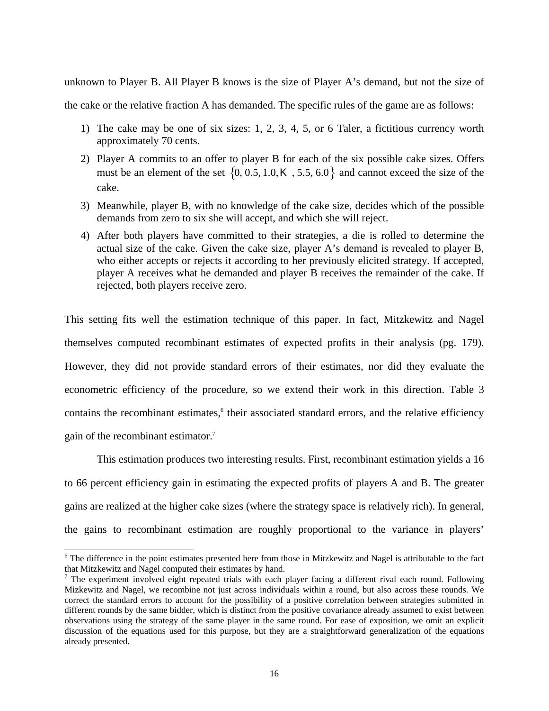unknown to Player B. All Player B knows is the size of Player A's demand, but not the size of

the cake or the relative fraction A has demanded. The specific rules of the game are as follows:

- 1) The cake may be one of six sizes: 1, 2, 3, 4, 5, or 6 Taler, a fictitious currency worth approximately 70 cents.
- 2) Player A commits to an offer to player B for each of the six possible cake sizes. Offers must be an element of the set  $\{0, 0.5, 1.0, K, 5.5, 6.0\}$  and cannot exceed the size of the cake.
- 3) Meanwhile, player B, with no knowledge of the cake size, decides which of the possible demands from zero to six she will accept, and which she will reject.
- 4) After both players have committed to their strategies, a die is rolled to determine the actual size of the cake. Given the cake size, player A's demand is revealed to player B, who either accepts or rejects it according to her previously elicited strategy. If accepted, player A receives what he demanded and player B receives the remainder of the cake. If rejected, both players receive zero.

This setting fits well the estimation technique of this paper. In fact, Mitzkewitz and Nagel themselves computed recombinant estimates of expected profits in their analysis (pg. 179). However, they did not provide standard errors of their estimates, nor did they evaluate the econometric efficiency of the procedure, so we extend their work in this direction. Table 3 contains the recombinant estimates,<sup>6</sup> their associated standard errors, and the relative efficiency gain of the recombinant estimator.7

This estimation produces two interesting results. First, recombinant estimation yields a 16 to 66 percent efficiency gain in estimating the expected profits of players A and B. The greater gains are realized at the higher cake sizes (where the strategy space is relatively rich). In general, the gains to recombinant estimation are roughly proportional to the variance in players'

 <sup>6</sup> <sup>6</sup> The difference in the point estimates presented here from those in Mitzkewitz and Nagel is attributable to the fact that Mitzkewitz and Nagel computed their estimates by hand. 7

<sup>&</sup>lt;sup>7</sup> The experiment involved eight repeated trials with each player facing a different rival each round. Following Mizkewitz and Nagel, we recombine not just across individuals within a round, but also across these rounds. We correct the standard errors to account for the possibility of a positive correlation between strategies submitted in different rounds by the same bidder, which is distinct from the positive covariance already assumed to exist between observations using the strategy of the same player in the same round. For ease of exposition, we omit an explicit discussion of the equations used for this purpose, but they are a straightforward generalization of the equations already presented.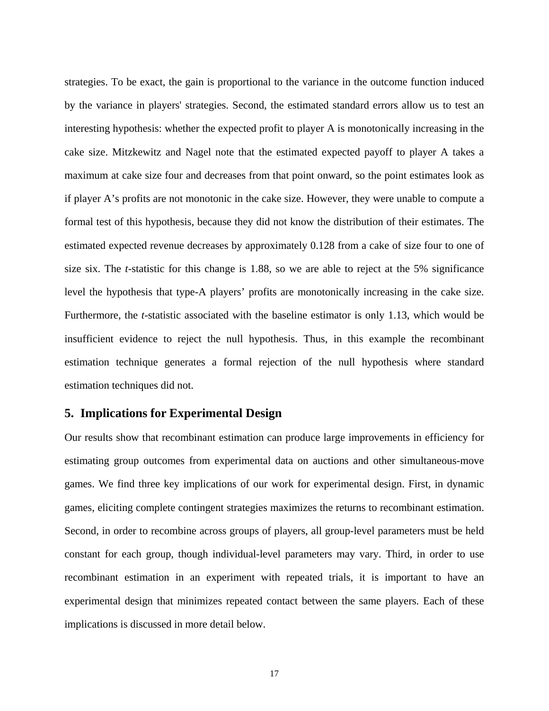strategies. To be exact, the gain is proportional to the variance in the outcome function induced by the variance in players' strategies. Second, the estimated standard errors allow us to test an interesting hypothesis: whether the expected profit to player A is monotonically increasing in the cake size. Mitzkewitz and Nagel note that the estimated expected payoff to player A takes a maximum at cake size four and decreases from that point onward, so the point estimates look as if player A's profits are not monotonic in the cake size. However, they were unable to compute a formal test of this hypothesis, because they did not know the distribution of their estimates. The estimated expected revenue decreases by approximately 0.128 from a cake of size four to one of size six. The *t*-statistic for this change is 1.88, so we are able to reject at the 5% significance level the hypothesis that type-A players' profits are monotonically increasing in the cake size. Furthermore, the *t*-statistic associated with the baseline estimator is only 1.13, which would be insufficient evidence to reject the null hypothesis. Thus, in this example the recombinant estimation technique generates a formal rejection of the null hypothesis where standard estimation techniques did not.

## **5. Implications for Experimental Design**

Our results show that recombinant estimation can produce large improvements in efficiency for estimating group outcomes from experimental data on auctions and other simultaneous-move games. We find three key implications of our work for experimental design. First, in dynamic games, eliciting complete contingent strategies maximizes the returns to recombinant estimation. Second, in order to recombine across groups of players, all group-level parameters must be held constant for each group, though individual-level parameters may vary. Third, in order to use recombinant estimation in an experiment with repeated trials, it is important to have an experimental design that minimizes repeated contact between the same players. Each of these implications is discussed in more detail below.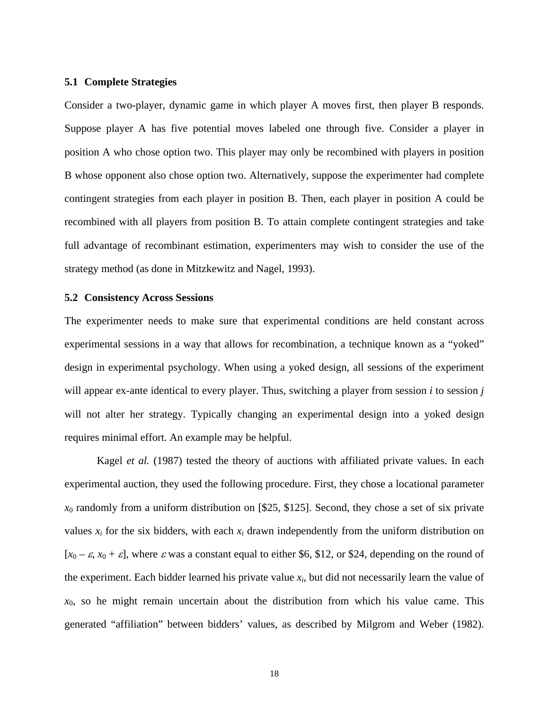### **5.1 Complete Strategies**

Consider a two-player, dynamic game in which player A moves first, then player B responds. Suppose player A has five potential moves labeled one through five. Consider a player in position A who chose option two. This player may only be recombined with players in position B whose opponent also chose option two. Alternatively, suppose the experimenter had complete contingent strategies from each player in position B. Then, each player in position A could be recombined with all players from position B. To attain complete contingent strategies and take full advantage of recombinant estimation, experimenters may wish to consider the use of the strategy method (as done in Mitzkewitz and Nagel, 1993).

#### **5.2 Consistency Across Sessions**

The experimenter needs to make sure that experimental conditions are held constant across experimental sessions in a way that allows for recombination, a technique known as a "yoked" design in experimental psychology. When using a yoked design, all sessions of the experiment will appear ex-ante identical to every player. Thus, switching a player from session *i* to session *j* will not alter her strategy. Typically changing an experimental design into a yoked design requires minimal effort. An example may be helpful.

Kagel *et al.* (1987) tested the theory of auctions with affiliated private values. In each experimental auction, they used the following procedure. First, they chose a locational parameter *x*0 randomly from a uniform distribution on [\$25, \$125]. Second, they chose a set of six private values *xi* for the six bidders, with each *xi* drawn independently from the uniform distribution on [ $x_0 - \varepsilon$ ,  $x_0 + \varepsilon$ ], where  $\varepsilon$  was a constant equal to either \$6, \$12, or \$24, depending on the round of the experiment. Each bidder learned his private value  $x_i$ , but did not necessarily learn the value of  $x<sub>0</sub>$ , so he might remain uncertain about the distribution from which his value came. This generated "affiliation" between bidders' values, as described by Milgrom and Weber (1982).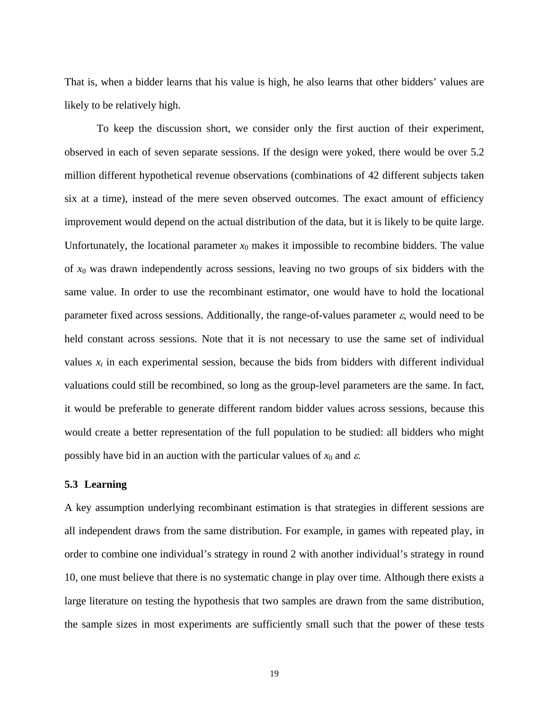That is, when a bidder learns that his value is high, he also learns that other bidders' values are likely to be relatively high.

To keep the discussion short, we consider only the first auction of their experiment, observed in each of seven separate sessions. If the design were yoked, there would be over 5.2 million different hypothetical revenue observations (combinations of 42 different subjects taken six at a time), instead of the mere seven observed outcomes. The exact amount of efficiency improvement would depend on the actual distribution of the data, but it is likely to be quite large. Unfortunately, the locational parameter  $x_0$  makes it impossible to recombine bidders. The value of *x*0 was drawn independently across sessions, leaving no two groups of six bidders with the same value. In order to use the recombinant estimator, one would have to hold the locational parameter fixed across sessions. Additionally, the range-of-values parameter  $\varepsilon$ , would need to be held constant across sessions. Note that it is not necessary to use the same set of individual values  $x_i$  in each experimental session, because the bids from bidders with different individual valuations could still be recombined, so long as the group-level parameters are the same. In fact, it would be preferable to generate different random bidder values across sessions, because this would create a better representation of the full population to be studied: all bidders who might possibly have bid in an auction with the particular values of  $x_0$  and  $\varepsilon$ .

## **5.3 Learning**

A key assumption underlying recombinant estimation is that strategies in different sessions are all independent draws from the same distribution. For example, in games with repeated play, in order to combine one individual's strategy in round 2 with another individual's strategy in round 10, one must believe that there is no systematic change in play over time. Although there exists a large literature on testing the hypothesis that two samples are drawn from the same distribution, the sample sizes in most experiments are sufficiently small such that the power of these tests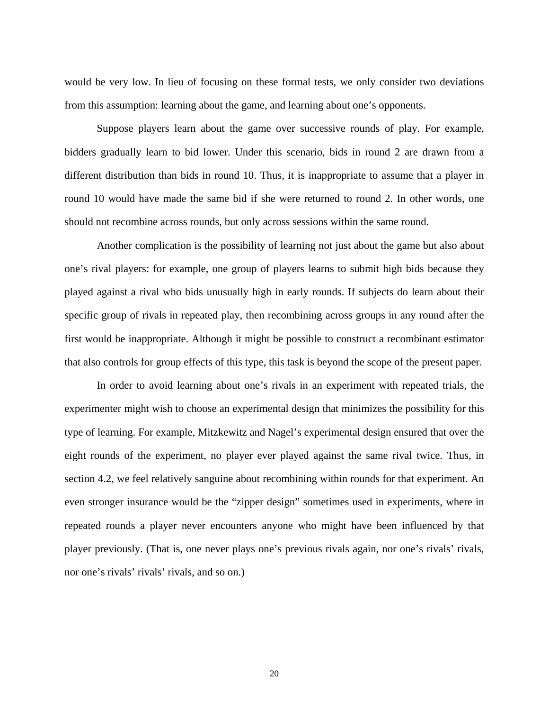would be very low. In lieu of focusing on these formal tests, we only consider two deviations from this assumption: learning about the game, and learning about one's opponents.

Suppose players learn about the game over successive rounds of play. For example, bidders gradually learn to bid lower. Under this scenario, bids in round 2 are drawn from a different distribution than bids in round 10. Thus, it is inappropriate to assume that a player in round 10 would have made the same bid if she were returned to round 2. In other words, one should not recombine across rounds, but only across sessions within the same round.

Another complication is the possibility of learning not just about the game but also about one's rival players: for example, one group of players learns to submit high bids because they played against a rival who bids unusually high in early rounds. If subjects do learn about their specific group of rivals in repeated play, then recombining across groups in any round after the first would be inappropriate. Although it might be possible to construct a recombinant estimator that also controls for group effects of this type, this task is beyond the scope of the present paper.

In order to avoid learning about one's rivals in an experiment with repeated trials, the experimenter might wish to choose an experimental design that minimizes the possibility for this type of learning. For example, Mitzkewitz and Nagel's experimental design ensured that over the eight rounds of the experiment, no player ever played against the same rival twice. Thus, in section 4.2, we feel relatively sanguine about recombining within rounds for that experiment. An even stronger insurance would be the "zipper design" sometimes used in experiments, where in repeated rounds a player never encounters anyone who might have been influenced by that player previously. (That is, one never plays one's previous rivals again, nor one's rivals' rivals, nor one's rivals' rivals' rivals, and so on.)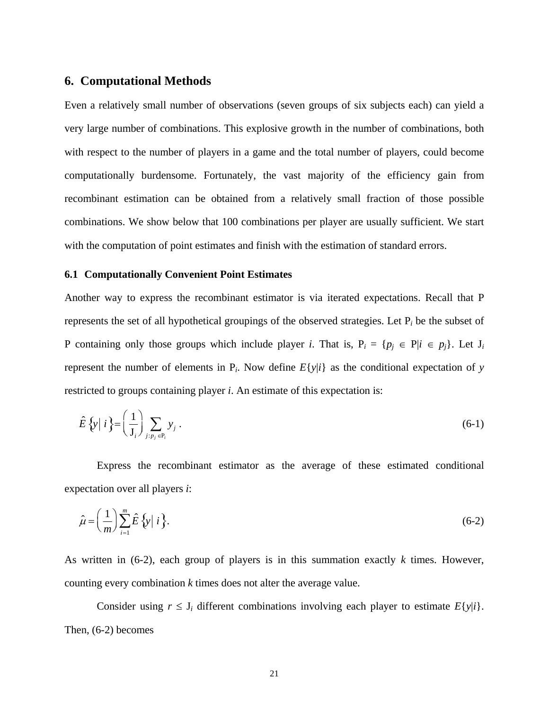## **6. Computational Methods**

Even a relatively small number of observations (seven groups of six subjects each) can yield a very large number of combinations. This explosive growth in the number of combinations, both with respect to the number of players in a game and the total number of players, could become computationally burdensome. Fortunately, the vast majority of the efficiency gain from recombinant estimation can be obtained from a relatively small fraction of those possible combinations. We show below that 100 combinations per player are usually sufficient. We start with the computation of point estimates and finish with the estimation of standard errors.

### **6.1 Computationally Convenient Point Estimates**

Another way to express the recombinant estimator is via iterated expectations. Recall that P represents the set of all hypothetical groupings of the observed strategies. Let P*i* be the subset of P containing only those groups which include player *i*. That is,  $P_i = \{p_j \in P | i \in p_j\}$ . Let  $J_i$ represent the number of elements in  $P_i$ . Now define  $E\{y|i\}$  as the conditional expectation of *y* restricted to groups containing player *i*. An estimate of this expectation is:

$$
\hat{E}\left\{y\bigm| i\right\} = \left(\frac{1}{J_i}\right) \sum_{j:p_j \in P_i} y_j.
$$
\n(6-1)

Express the recombinant estimator as the average of these estimated conditional expectation over all players *i*:

$$
\hat{\mu} = \left(\frac{1}{m}\right) \sum_{i=1}^{m} \hat{E} \left\{ y \middle| i \right\}. \tag{6-2}
$$

As written in (6-2), each group of players is in this summation exactly *k* times. However, counting every combination *k* times does not alter the average value.

Consider using  $r \leq J_i$  different combinations involving each player to estimate  $E\{y|i\}$ . Then, (6-2) becomes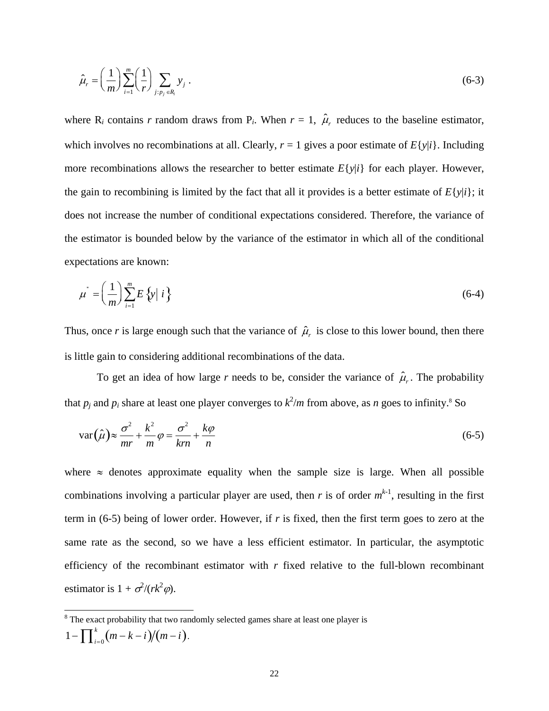$$
\hat{\mu}_r = \left(\frac{1}{m}\right) \sum_{i=1}^m \left(\frac{1}{r}\right) \sum_{j: p_j \in R_i} y_j \tag{6-3}
$$

where  $R_i$  contains *r* random draws from  $P_i$ . When  $r = 1$ ,  $\hat{\mu}_r$  reduces to the baseline estimator, which involves no recombinations at all. Clearly,  $r = 1$  gives a poor estimate of  $E\{y|i\}$ . Including more recombinations allows the researcher to better estimate  $E\{y|i\}$  for each player. However, the gain to recombining is limited by the fact that all it provides is a better estimate of  $E\{y|i\}$ ; it does not increase the number of conditional expectations considered. Therefore, the variance of the estimator is bounded below by the variance of the estimator in which all of the conditional expectations are known:

$$
\mu^* = \left(\frac{1}{m}\right) \sum_{i=1}^m E\left\{y \mid i\right\} \tag{6-4}
$$

Thus, once *r* is large enough such that the variance of  $\hat{\mu}_r$  is close to this lower bound, then there is little gain to considering additional recombinations of the data.

To get an idea of how large *r* needs to be, consider the variance of  $\hat{\mu}_r$ . The probability that  $p_j$  and  $p_i$  share at least one player converges to  $k^2/m$  from above, as *n* goes to infinity.<sup>8</sup> So

$$
\text{var}(\hat{\mu}) \approx \frac{\sigma^2}{mr} + \frac{k^2}{m}\varphi = \frac{\sigma^2}{km} + \frac{k\varphi}{n}
$$
\n(6-5)

where  $\approx$  denotes approximate equality when the sample size is large. When all possible combinations involving a particular player are used, then *r* is of order  $m^{k-1}$ , resulting in the first term in (6-5) being of lower order. However, if *r* is fixed, then the first term goes to zero at the same rate as the second, so we have a less efficient estimator. In particular, the asymptotic efficiency of the recombinant estimator with *r* fixed relative to the full-blown recombinant estimator is  $1 + \sigma^2/(rk^2\varphi)$ .

 <sup>8</sup> <sup>8</sup> The exact probability that two randomly selected games share at least one player is  $1 - \prod_{i=0}^{k} (m - k - i) / (m - i)$  $\prod_{i=0}^{k} (m-k-i)/(m-i)$ .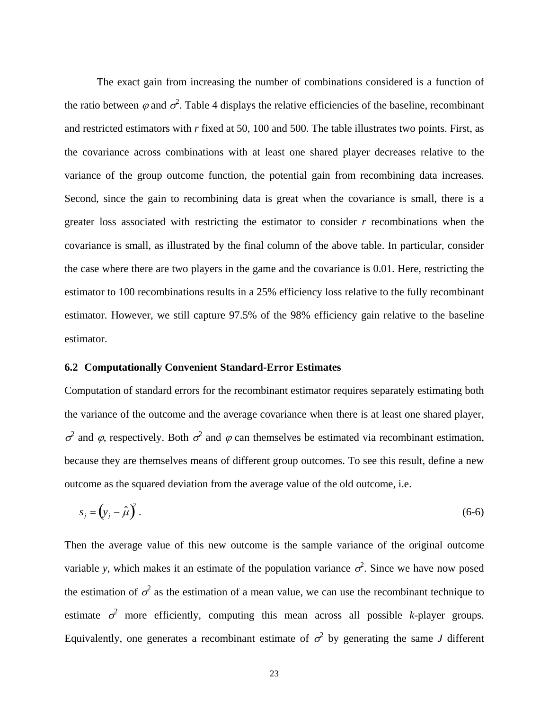The exact gain from increasing the number of combinations considered is a function of the ratio between  $\varphi$  and  $\sigma^2$ . Table 4 displays the relative efficiencies of the baseline, recombinant and restricted estimators with *r* fixed at 50, 100 and 500. The table illustrates two points. First, as the covariance across combinations with at least one shared player decreases relative to the variance of the group outcome function, the potential gain from recombining data increases. Second, since the gain to recombining data is great when the covariance is small, there is a greater loss associated with restricting the estimator to consider *r* recombinations when the covariance is small, as illustrated by the final column of the above table. In particular, consider the case where there are two players in the game and the covariance is 0.01. Here, restricting the estimator to 100 recombinations results in a 25% efficiency loss relative to the fully recombinant estimator. However, we still capture 97.5% of the 98% efficiency gain relative to the baseline estimator.

### **6.2 Computationally Convenient Standard-Error Estimates**

Computation of standard errors for the recombinant estimator requires separately estimating both the variance of the outcome and the average covariance when there is at least one shared player,  $\sigma^2$  and φ, respectively. Both  $\sigma^2$  and φ can themselves be estimated via recombinant estimation, because they are themselves means of different group outcomes. To see this result, define a new outcome as the squared deviation from the average value of the old outcome, i.e.

$$
s_j = \left(y_j - \hat{\mu}\right)^2. \tag{6-6}
$$

Then the average value of this new outcome is the sample variance of the original outcome variable y, which makes it an estimate of the population variance  $\sigma^2$ . Since we have now posed the estimation of  $\sigma^2$  as the estimation of a mean value, we can use the recombinant technique to estimate  $\sigma^2$  more efficiently, computing this mean across all possible *k*-player groups. Equivalently, one generates a recombinant estimate of  $\sigma^2$  by generating the same *J* different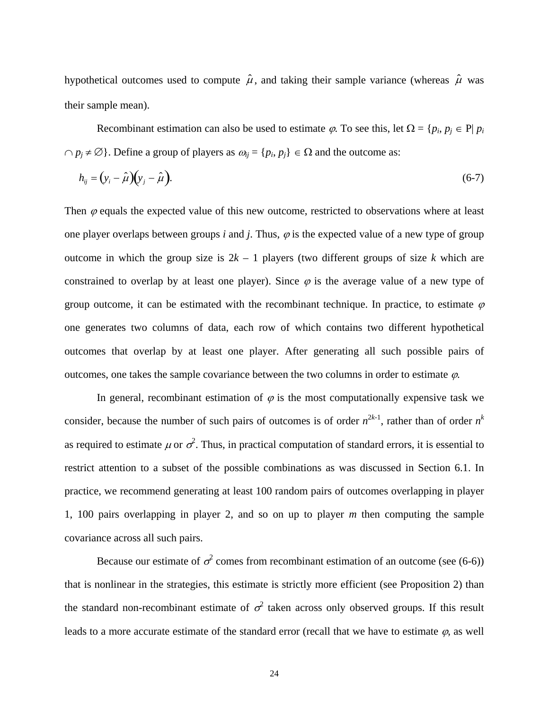hypothetical outcomes used to compute  $\hat{\mu}$ , and taking their sample variance (whereas  $\hat{\mu}$  was their sample mean).

Recombinant estimation can also be used to estimate  $\varphi$ . To see this, let  $\Omega = \{p_i, p_j \in P | p_i\}$  $\cap$  *p<sub>i</sub>* ≠ ∅}. Define a group of players as  $\omega_{ij} = \{p_i, p_j\} \in \Omega$  and the outcome as:

$$
h_{ij} = (y_i - \hat{\mu})(y_j - \hat{\mu}).
$$
\n(6-7)

Then  $\varphi$  equals the expected value of this new outcome, restricted to observations where at least one player overlaps between groups  $i$  and  $j$ . Thus,  $\varphi$  is the expected value of a new type of group outcome in which the group size is  $2k - 1$  players (two different groups of size k which are constrained to overlap by at least one player). Since  $\varphi$  is the average value of a new type of group outcome, it can be estimated with the recombinant technique. In practice, to estimate  $\varphi$ one generates two columns of data, each row of which contains two different hypothetical outcomes that overlap by at least one player. After generating all such possible pairs of outcomes, one takes the sample covariance between the two columns in order to estimate  $\varphi$ .

In general, recombinant estimation of  $\varphi$  is the most computationally expensive task we consider, because the number of such pairs of outcomes is of order  $n^{2k-1}$ , rather than of order  $n^k$ as required to estimate  $\mu$  or  $\sigma^2$ . Thus, in practical computation of standard errors, it is essential to restrict attention to a subset of the possible combinations as was discussed in Section 6.1. In practice, we recommend generating at least 100 random pairs of outcomes overlapping in player 1, 100 pairs overlapping in player 2, and so on up to player *m* then computing the sample covariance across all such pairs.

Because our estimate of  $\sigma^2$  comes from recombinant estimation of an outcome (see (6-6)) that is nonlinear in the strategies, this estimate is strictly more efficient (see Proposition 2) than the standard non-recombinant estimate of  $\sigma^2$  taken across only observed groups. If this result leads to a more accurate estimate of the standard error (recall that we have to estimate  $\varphi$ , as well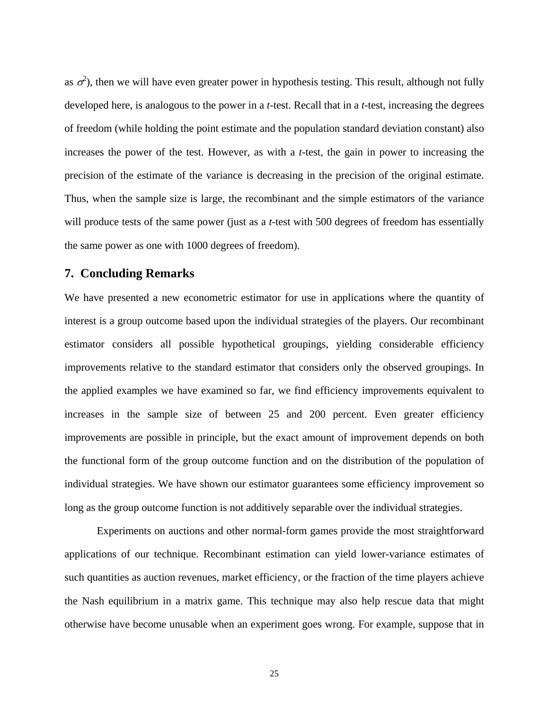as  $\sigma^2$ ), then we will have even greater power in hypothesis testing. This result, although not fully developed here, is analogous to the power in a *t*-test. Recall that in a *t*-test, increasing the degrees of freedom (while holding the point estimate and the population standard deviation constant) also increases the power of the test. However, as with a *t*-test, the gain in power to increasing the precision of the estimate of the variance is decreasing in the precision of the original estimate. Thus, when the sample size is large, the recombinant and the simple estimators of the variance will produce tests of the same power (just as a *t*-test with 500 degrees of freedom has essentially the same power as one with 1000 degrees of freedom).

# **7. Concluding Remarks**

We have presented a new econometric estimator for use in applications where the quantity of interest is a group outcome based upon the individual strategies of the players. Our recombinant estimator considers all possible hypothetical groupings, yielding considerable efficiency improvements relative to the standard estimator that considers only the observed groupings. In the applied examples we have examined so far, we find efficiency improvements equivalent to increases in the sample size of between 25 and 200 percent. Even greater efficiency improvements are possible in principle, but the exact amount of improvement depends on both the functional form of the group outcome function and on the distribution of the population of individual strategies. We have shown our estimator guarantees some efficiency improvement so long as the group outcome function is not additively separable over the individual strategies.

Experiments on auctions and other normal-form games provide the most straightforward applications of our technique. Recombinant estimation can yield lower-variance estimates of such quantities as auction revenues, market efficiency, or the fraction of the time players achieve the Nash equilibrium in a matrix game. This technique may also help rescue data that might otherwise have become unusable when an experiment goes wrong. For example, suppose that in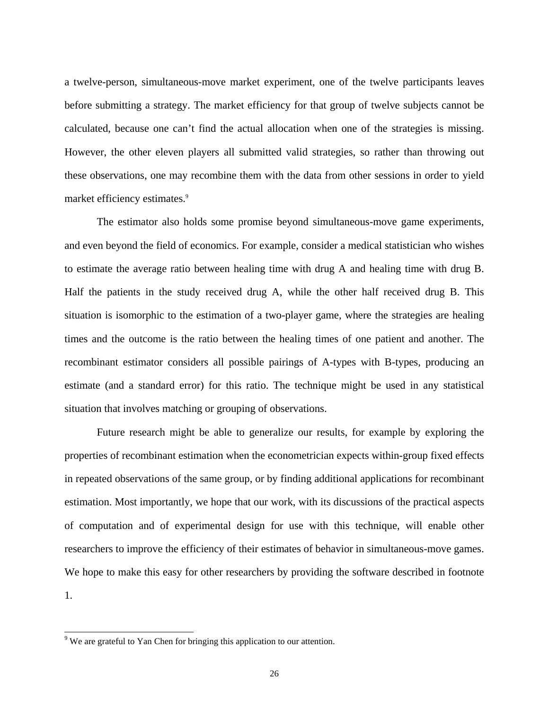a twelve-person, simultaneous-move market experiment, one of the twelve participants leaves before submitting a strategy. The market efficiency for that group of twelve subjects cannot be calculated, because one can't find the actual allocation when one of the strategies is missing. However, the other eleven players all submitted valid strategies, so rather than throwing out these observations, one may recombine them with the data from other sessions in order to yield market efficiency estimates.<sup>9</sup>

The estimator also holds some promise beyond simultaneous-move game experiments, and even beyond the field of economics. For example, consider a medical statistician who wishes to estimate the average ratio between healing time with drug A and healing time with drug B. Half the patients in the study received drug A, while the other half received drug B. This situation is isomorphic to the estimation of a two-player game, where the strategies are healing times and the outcome is the ratio between the healing times of one patient and another. The recombinant estimator considers all possible pairings of A-types with B-types, producing an estimate (and a standard error) for this ratio. The technique might be used in any statistical situation that involves matching or grouping of observations.

Future research might be able to generalize our results, for example by exploring the properties of recombinant estimation when the econometrician expects within-group fixed effects in repeated observations of the same group, or by finding additional applications for recombinant estimation. Most importantly, we hope that our work, with its discussions of the practical aspects of computation and of experimental design for use with this technique, will enable other researchers to improve the efficiency of their estimates of behavior in simultaneous-move games. We hope to make this easy for other researchers by providing the software described in footnote 1.

<sup>&</sup>lt;sup>9</sup> We are grateful to Yan Chen for bringing this application to our attention.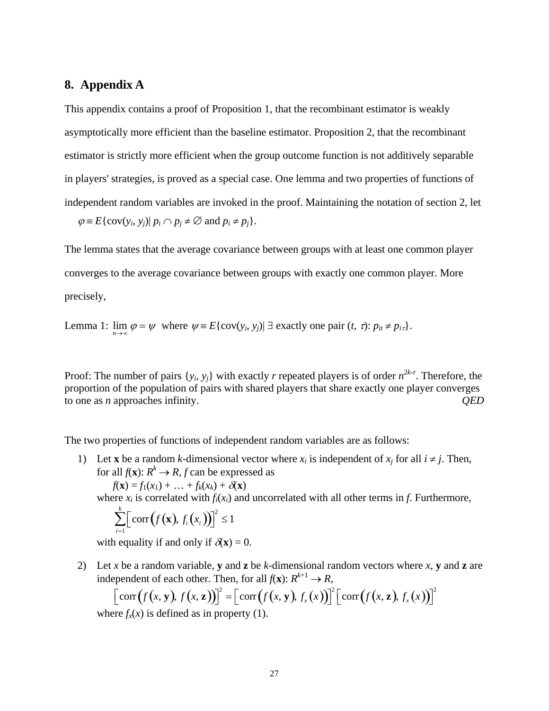# **8. Appendix A**

This appendix contains a proof of Proposition 1, that the recombinant estimator is weakly asymptotically more efficient than the baseline estimator. Proposition 2, that the recombinant estimator is strictly more efficient when the group outcome function is not additively separable in players' strategies, is proved as a special case. One lemma and two properties of functions of independent random variables are invoked in the proof. Maintaining the notation of section 2, let

 $\varphi \equiv E\{\text{cov}(y_i, y_j) | p_i \cap p_j \neq \emptyset \text{ and } p_i \neq p_j\}.$ 

The lemma states that the average covariance between groups with at least one common player converges to the average covariance between groups with exactly one common player. More precisely,

Lemma 1:  $\lim \varphi = \psi$  where  $\psi = E\{\text{cov}(y_i, y_j) | \exists \text{ exactly one pair } (t, \tau): p_{it} \neq p_{i\tau}\}.$ 

Proof: The number of pairs  $\{y_i, y_j\}$  with exactly *r* repeated players is of order  $n^{2k-r}$ . Therefore, the proportion of the population of pairs with shared players that share exactly one player converges to one as *n* approaches infinity. *QED*

The two properties of functions of independent random variables are as follows:

1) Let **x** be a random *k*-dimensional vector where  $x_i$  is independent of  $x_j$  for all  $i \neq j$ . Then, for all  $f(\mathbf{x})$ :  $R^k \to R$ , *f* can be expressed as

 $f(\mathbf{x}) = f_1(x_1) + \ldots + f_k(x_k) + \delta(\mathbf{x})$ 

where  $x_i$  is correlated with  $f_i(x_i)$  and uncorrelated with all other terms in *f*. Furthermore,

$$
\sum_{i=1}^k \Big[ \text{corr}\big(f(\mathbf{x}), f_i(x_i)\big)\Big]^2 \leq 1
$$

with equality if and only if  $\delta(\mathbf{x}) = 0$ .

2) Let *x* be a random variable, **v** and **z** be *k*-dimensional random vectors where *x*, **v** and **z** are independent of each other. Then, for all  $f(\mathbf{x})$ :  $R^{k+1} \to R$ ,

$$
\left[\text{corr}\big(f(x, y), f(x, z)\big)\right]^2 = \left[\text{corr}\big(f(x, y), f_x(x)\big)\right]^2 \left[\text{corr}\big(f(x, z), f_x(x)\big)\right]^2
$$
  
ere  $f(x)$  is defined as in property (1)

where  $f_x(x)$  is defined as in property (1).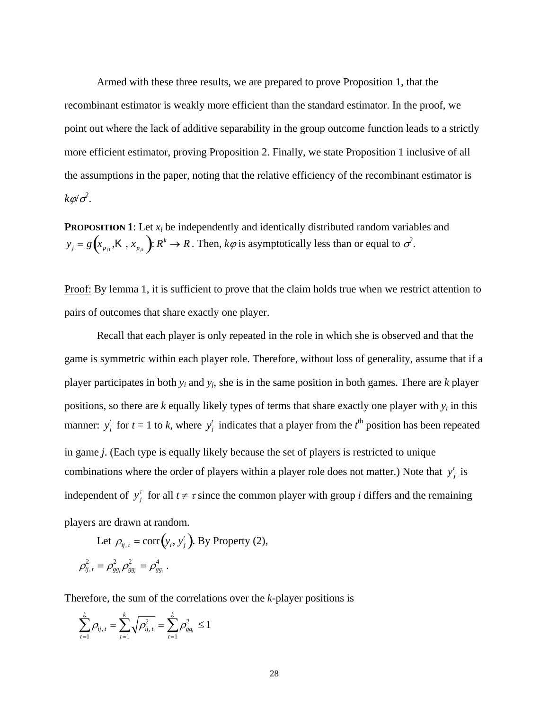Armed with these three results, we are prepared to prove Proposition 1, that the recombinant estimator is weakly more efficient than the standard estimator. In the proof, we point out where the lack of additive separability in the group outcome function leads to a strictly more efficient estimator, proving Proposition 2. Finally, we state Proposition 1 inclusive of all the assumptions in the paper, noting that the relative efficiency of the recombinant estimator is  $k\varphi/\sigma^2$ .

**PROPOSITION 1:** Let  $x_i$  be independently and identically distributed random variables and  $y_j = g\left(x_{p_{j1}}, K, x_{p_{jk}}\right)$ :  $R^k \to R$ . Then,  $k\varphi$  is asymptotically less than or equal to  $\sigma^2$ .

Proof: By lemma 1, it is sufficient to prove that the claim holds true when we restrict attention to pairs of outcomes that share exactly one player.

Recall that each player is only repeated in the role in which she is observed and that the game is symmetric within each player role. Therefore, without loss of generality, assume that if a player participates in both *yi* and *yj*, she is in the same position in both games. There are *k* player positions, so there are *k* equally likely types of terms that share exactly one player with *yi* in this manner:  $y_j^t$  for  $t = 1$  to *k*, where  $y_j^t$  indicates that a player from the  $t^{\text{th}}$  position has been repeated in game *j*. (Each type is equally likely because the set of players is restricted to unique combinations where the order of players within a player role does not matter.) Note that  $y_j^t$  is independent of  $y_j^r$  for all  $t \neq \tau$  since the common player with group *i* differs and the remaining players are drawn at random.

Let  $\rho_{ij,t} = \text{corr}(y_i, y_j^t)$ . By Property (2),  $\rho_{ij,t}^2 = \rho_{gg_t}^2 \rho_{gg_t}^2 = \rho_{gg_t}^4$ .

Therefore, the sum of the correlations over the *k*-player positions is

$$
\sum_{t=1}^{k} \rho_{ij,t} = \sum_{t=1}^{k} \sqrt{\rho_{ij,t}^2} = \sum_{t=1}^{k} \rho_{gg_t}^2 \le 1
$$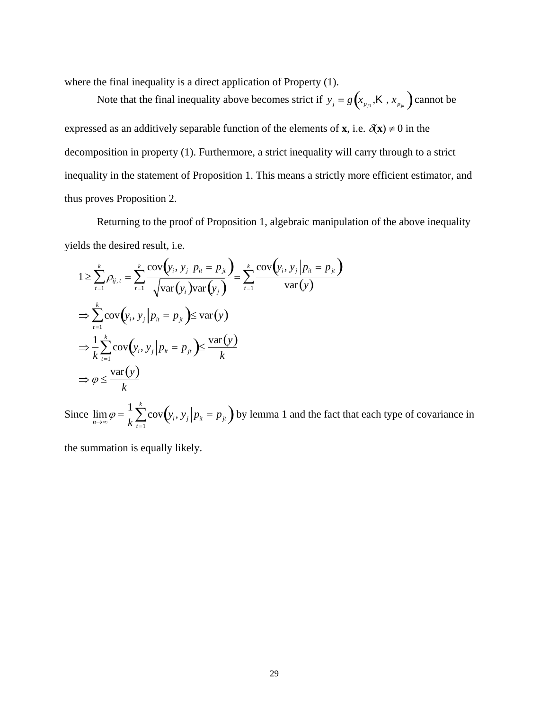where the final inequality is a direct application of Property (1).

Note that the final inequality above becomes strict if  $y_j = g(x_{p_{j1}}, K, x_{p_{jk}})$  cannot be expressed as an additively separable function of the elements of **x**, i.e.  $\delta(\mathbf{x}) \neq 0$  in the decomposition in property (1). Furthermore, a strict inequality will carry through to a strict inequality in the statement of Proposition 1. This means a strictly more efficient estimator, and thus proves Proposition 2.

Returning to the proof of Proposition 1, algebraic manipulation of the above inequality yields the desired result, i.e.

$$
1 \ge \sum_{t=1}^{k} \rho_{ij,t} = \sum_{t=1}^{k} \frac{\text{cov}(y_i, y_j | p_{it} = p_{jt})}{\sqrt{\text{var}(y_i)\text{var}(y_j)}} = \sum_{t=1}^{k} \frac{\text{cov}(y_i, y_j | p_{it} = p_{jt})}{\text{var}(y)}
$$
  
\n
$$
\Rightarrow \sum_{t=1}^{k} \text{cov}(y_i, y_j | p_{it} = p_{jt}) \le \text{var}(y)
$$
  
\n
$$
\Rightarrow \frac{1}{k} \sum_{t=1}^{k} \text{cov}(y_i, y_j | p_{it} = p_{jt}) \le \frac{\text{var}(y)}{k}
$$
  
\n
$$
\Rightarrow \varphi \le \frac{\text{var}(y)}{k}
$$

Since  $\lim_{n\to\infty}\varphi=\frac{1}{k}$  $\frac{1}{k} \sum_{t=1}^{k} \text{cov}(y_i, y_j | p_{it} = p_{jt})$  by lemma 1 and the fact that each type of covariance in

the summation is equally likely.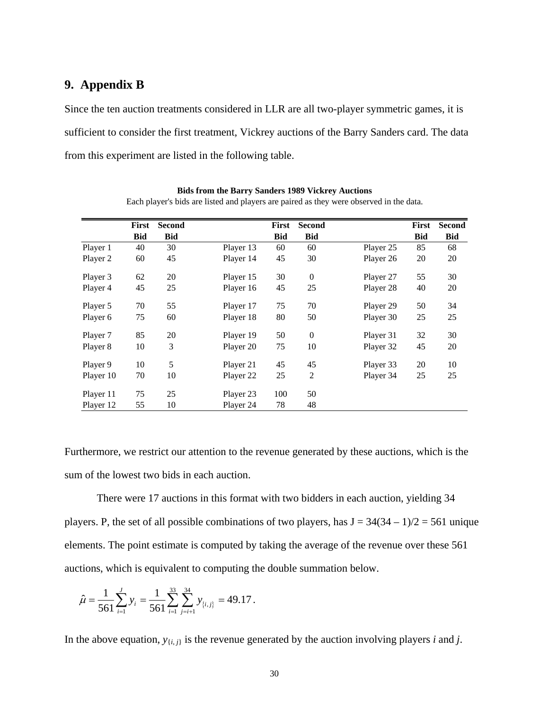# **9. Appendix B**

Since the ten auction treatments considered in LLR are all two-player symmetric games, it is sufficient to consider the first treatment, Vickrey auctions of the Barry Sanders card. The data from this experiment are listed in the following table.

|           | First      | <b>Second</b> |           | First      | <b>Second</b>  |           | First      | <b>Second</b> |
|-----------|------------|---------------|-----------|------------|----------------|-----------|------------|---------------|
|           | <b>Bid</b> | <b>Bid</b>    |           | <b>Bid</b> | <b>Bid</b>     |           | <b>Bid</b> | <b>Bid</b>    |
| Player 1  | 40         | 30            | Player 13 | 60         | 60             | Player 25 | 85         | 68            |
| Player 2  | 60         | 45            | Player 14 | 45         | 30             | Player 26 | 20         | 20            |
| Player 3  | 62         | 20            | Player 15 | 30         | $\mathbf{0}$   | Player 27 | 55         | 30            |
| Player 4  | 45         | 25            | Player 16 | 45         | 25             | Player 28 | 40         | 20            |
| Player 5  | 70         | 55            | Player 17 | 75         | 70             | Player 29 | 50         | 34            |
| Player 6  | 75         | 60            | Player 18 | 80         | 50             | Player 30 | 25         | 25            |
| Player 7  | 85         | 20            | Player 19 | 50         | $\mathbf{0}$   | Player 31 | 32         | 30            |
| Player 8  | 10         | 3             | Player 20 | 75         | 10             | Player 32 | 45         | 20            |
| Player 9  | 10         | 5             | Player 21 | 45         | 45             | Player 33 | 20         | 10            |
| Player 10 | 70         | 10            | Player 22 | 25         | $\overline{c}$ | Player 34 | 25         | 25            |
| Player 11 | 75         | 25            | Player 23 | 100        | 50             |           |            |               |
| Player 12 | 55         | 10            | Player 24 | 78         | 48             |           |            |               |

**Bids from the Barry Sanders 1989 Vickrey Auctions**

Each player's bids are listed and players are paired as they were observed in the data.

Furthermore, we restrict our attention to the revenue generated by these auctions, which is the sum of the lowest two bids in each auction.

There were 17 auctions in this format with two bidders in each auction, yielding 34 players. P, the set of all possible combinations of two players, has  $J = 34(34 - 1)/2 = 561$  unique elements. The point estimate is computed by taking the average of the revenue over these 561 auctions, which is equivalent to computing the double summation below.

$$
\hat{\mu} = \frac{1}{561} \sum_{i=1}^{J} y_i = \frac{1}{561} \sum_{i=1}^{33} \sum_{j=i+1}^{34} y_{\{i,j\}} = 49.17.
$$

In the above equation,  $y_{\{i,j\}}$  is the revenue generated by the auction involving players *i* and *j*.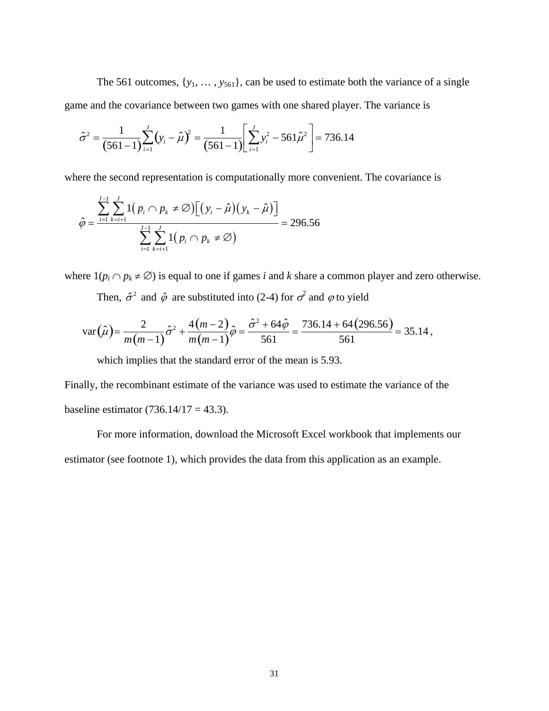The 561 outcomes,  $\{y_1, \ldots, y_{561}\}$ , can be used to estimate both the variance of a single game and the covariance between two games with one shared player. The variance is

$$
\hat{\sigma}^2 = \frac{1}{(561-1)} \sum_{i=1}^{J} (y_i - \hat{\mu})^2 = \frac{1}{(561-1)} \left[ \sum_{i=1}^{J} y_i^2 - 561 \hat{\mu}^2 \right] = 736.14
$$

where the second representation is computationally more convenient. The covariance is

$$
\hat{\varphi} = \frac{\sum_{i=1}^{J-1} \sum_{k=i+1}^{J} 1(p_i \cap p_k \neq \varnothing) [(y_i - \hat{\mu})(y_k - \hat{\mu})]}{\sum_{i=1}^{J-1} \sum_{k=i+1}^{J} 1(p_i \cap p_k \neq \varnothing)} = 296.56
$$

where  $1(p_i \cap p_k \neq \emptyset)$  is equal to one if games *i* and *k* share a common player and zero otherwise.

Then,  $\hat{\sigma}^2$  and  $\hat{\varphi}$  are substituted into (2-4) for  $\sigma^2$  and  $\varphi$  to yield

$$
\text{var}(\hat{\mu}) = \frac{2}{m(m-1)}\hat{\sigma}^2 + \frac{4(m-2)}{m(m-1)}\hat{\varphi} = \frac{\hat{\sigma}^2 + 64\hat{\varphi}}{561} = \frac{736.14 + 64(296.56)}{561} = 35.14,
$$

which implies that the standard error of the mean is 5.93.

Finally, the recombinant estimate of the variance was used to estimate the variance of the baseline estimator (736.14/17 = 43.3).

For more information, download the Microsoft Excel workbook that implements our estimator (see footnote 1), which provides the data from this application as an example.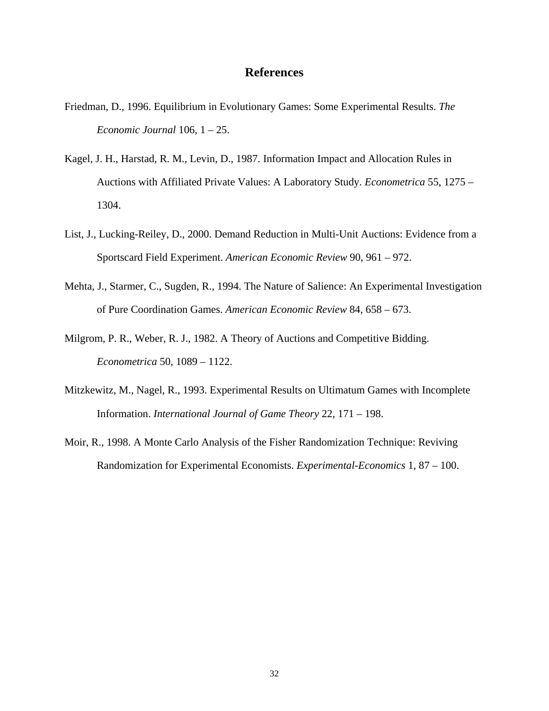## **References**

- Friedman, D., 1996. Equilibrium in Evolutionary Games: Some Experimental Results. *The Economic Journal* 106, 1 – 25.
- Kagel, J. H., Harstad, R. M., Levin, D., 1987. Information Impact and Allocation Rules in Auctions with Affiliated Private Values: A Laboratory Study. *Econometrica* 55, 1275 – 1304.
- List, J., Lucking-Reiley, D., 2000. Demand Reduction in Multi-Unit Auctions: Evidence from a Sportscard Field Experiment. *American Economic Review* 90, 961 – 972.
- Mehta, J., Starmer, C., Sugden, R., 1994. The Nature of Salience: An Experimental Investigation of Pure Coordination Games. *American Economic Review* 84, 658 – 673.
- Milgrom, P. R., Weber, R. J., 1982. A Theory of Auctions and Competitive Bidding. *Econometrica* 50, 1089 – 1122.
- Mitzkewitz, M., Nagel, R., 1993. Experimental Results on Ultimatum Games with Incomplete Information. *International Journal of Game Theory* 22, 171 – 198.
- Moir, R., 1998. A Monte Carlo Analysis of the Fisher Randomization Technique: Reviving Randomization for Experimental Economists. *Experimental-Economics* 1, 87 – 100.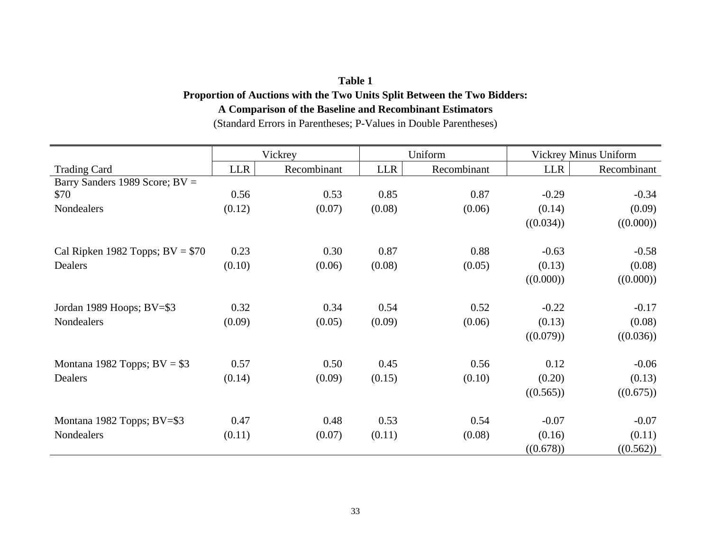## **Table 1**

# **Proportion of Auctions with the Two Units Split Between the Two Bidders: A Comparison of the Baseline and Recombinant Estimators**

(Standard Errors in Parentheses; P-Values in Double Parentheses)

|                                   | Vickrey    |             | Uniform    |             | <b>Vickrey Minus Uniform</b> |             |
|-----------------------------------|------------|-------------|------------|-------------|------------------------------|-------------|
| <b>Trading Card</b>               | <b>LLR</b> | Recombinant | <b>LLR</b> | Recombinant | <b>LLR</b>                   | Recombinant |
| Barry Sanders 1989 Score; BV =    |            |             |            |             |                              |             |
| \$70                              | 0.56       | 0.53        | 0.85       | 0.87        | $-0.29$                      | $-0.34$     |
| Nondealers                        | (0.12)     | (0.07)      | (0.08)     | (0.06)      | (0.14)                       | (0.09)      |
|                                   |            |             |            |             | ((0.034))                    | ((0.000))   |
| Cal Ripken 1982 Topps; $BV = $70$ | 0.23       | 0.30        | 0.87       | 0.88        | $-0.63$                      | $-0.58$     |
| Dealers                           | (0.10)     | (0.06)      | (0.08)     | (0.05)      | (0.13)                       | (0.08)      |
|                                   |            |             |            |             | ((0.000))                    | ((0.000))   |
|                                   |            |             |            |             |                              |             |
| Jordan 1989 Hoops; BV=\$3         | 0.32       | 0.34        | 0.54       | 0.52        | $-0.22$                      | $-0.17$     |
| Nondealers                        | (0.09)     | (0.05)      | (0.09)     | (0.06)      | (0.13)                       | (0.08)      |
|                                   |            |             |            |             | ((0.079))                    | ((0.036))   |
| Montana 1982 Topps; $BV = $3$     | 0.57       | 0.50        | 0.45       | 0.56        | 0.12                         | $-0.06$     |
| Dealers                           | (0.14)     | (0.09)      | (0.15)     | (0.10)      | (0.20)                       | (0.13)      |
|                                   |            |             |            |             | ((0.565))                    | ((0.675))   |
|                                   |            |             |            |             |                              |             |
| Montana 1982 Topps; BV=\$3        | 0.47       | 0.48        | 0.53       | 0.54        | $-0.07$                      | $-0.07$     |
| Nondealers                        | (0.11)     | (0.07)      | (0.11)     | (0.08)      | (0.16)                       | (0.11)      |
|                                   |            |             |            |             | ((0.678))                    | ((0.562))   |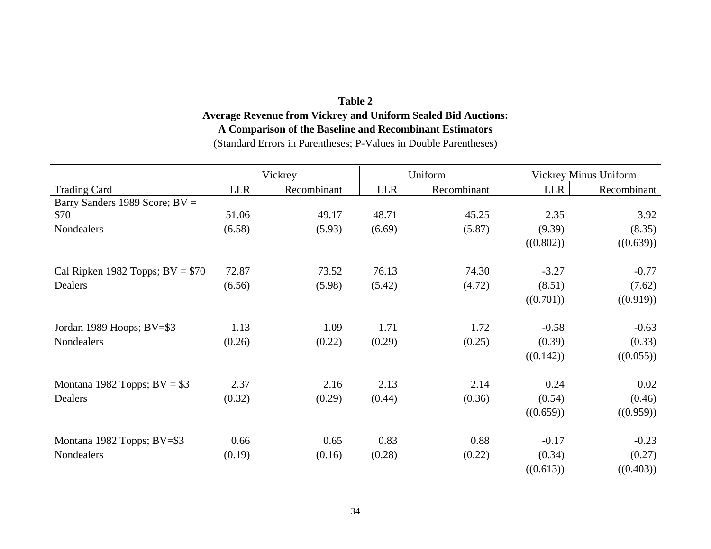# **Table 2 Average Revenue from Vickrey and Uniform Sealed Bid Auctions: A Comparison of the Baseline and Recombinant Estimators**  (Standard Errors in Parentheses; P-Values in Double Parentheses)

|                                   | Vickrey |             | Uniform    |             | <b>Vickrey Minus Uniform</b> |             |
|-----------------------------------|---------|-------------|------------|-------------|------------------------------|-------------|
| <b>Trading Card</b>               | LLR     | Recombinant | <b>LLR</b> | Recombinant | <b>LLR</b>                   | Recombinant |
| Barry Sanders 1989 Score; BV =    |         |             |            |             |                              |             |
| \$70                              | 51.06   | 49.17       | 48.71      | 45.25       | 2.35                         | 3.92        |
| Nondealers                        | (6.58)  | (5.93)      | (6.69)     | (5.87)      | (9.39)                       | (8.35)      |
|                                   |         |             |            |             | ((0.802))                    | ((0.639))   |
| Cal Ripken 1982 Topps; $BV = $70$ | 72.87   | 73.52       | 76.13      | 74.30       | $-3.27$                      | $-0.77$     |
| Dealers                           | (6.56)  | (5.98)      | (5.42)     | (4.72)      | (8.51)                       | (7.62)      |
|                                   |         |             |            |             | ((0.701))                    | ((0.919))   |
|                                   |         |             |            |             |                              |             |
| Jordan 1989 Hoops; BV=\$3         | 1.13    | 1.09        | 1.71       | 1.72        | $-0.58$                      | $-0.63$     |
| Nondealers                        | (0.26)  | (0.22)      | (0.29)     | (0.25)      | (0.39)                       | (0.33)      |
|                                   |         |             |            |             | ((0.142))                    | ((0.055))   |
| Montana 1982 Topps; $BV = $3$     | 2.37    | 2.16        | 2.13       | 2.14        | 0.24                         | 0.02        |
| Dealers                           | (0.32)  | (0.29)      | (0.44)     | (0.36)      | (0.54)                       | (0.46)      |
|                                   |         |             |            |             | ((0.659))                    | ((0.959))   |
|                                   |         |             |            |             |                              |             |
| Montana 1982 Topps; BV=\$3        | 0.66    | 0.65        | 0.83       | 0.88        | $-0.17$                      | $-0.23$     |
| Nondealers                        | (0.19)  | (0.16)      | (0.28)     | (0.22)      | (0.34)                       | (0.27)      |
|                                   |         |             |            |             | ((0.613))                    | ((0.403))   |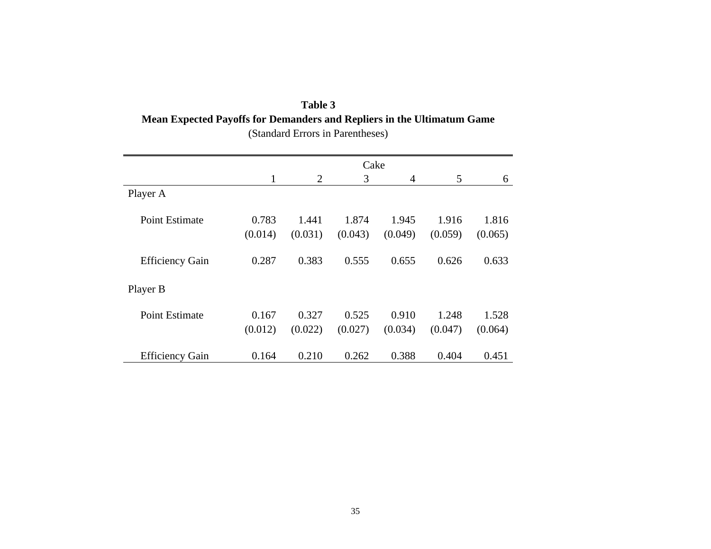| Table 3                                                                       |  |  |  |  |  |  |
|-------------------------------------------------------------------------------|--|--|--|--|--|--|
| <b>Mean Expected Payoffs for Demanders and Repliers in the Ultimatum Game</b> |  |  |  |  |  |  |
| (Standard Errors in Parentheses)                                              |  |  |  |  |  |  |

|                        | Cake    |         |         |         |         |         |
|------------------------|---------|---------|---------|---------|---------|---------|
|                        | 1       | 2       | 3       | 4       | 5       | 6       |
| Player A               |         |         |         |         |         |         |
| <b>Point Estimate</b>  | 0.783   | 1.441   | 1.874   | 1.945   | 1.916   | 1.816   |
|                        | (0.014) | (0.031) | (0.043) | (0.049) | (0.059) | (0.065) |
| <b>Efficiency Gain</b> | 0.287   | 0.383   | 0.555   | 0.655   | 0.626   | 0.633   |
| Player B               |         |         |         |         |         |         |
| Point Estimate         | 0.167   | 0.327   | 0.525   | 0.910   | 1.248   | 1.528   |
|                        | (0.012) | (0.022) | (0.027) | (0.034) | (0.047) | (0.064) |
| <b>Efficiency Gain</b> | 0.164   | 0.210   | 0.262   | 0.388   | 0.404   | 0.451   |